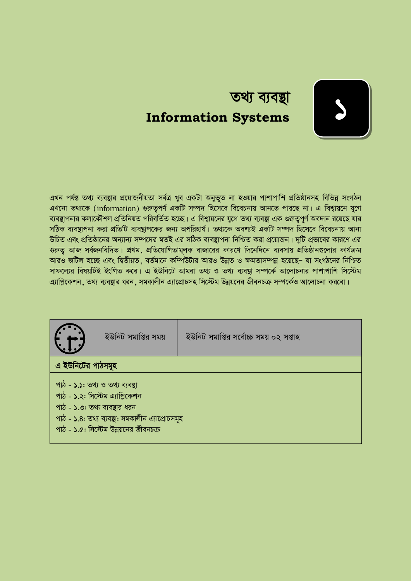

# তথ্য ব্যবস্থা **Information Systems**

এখন পৰ্যন্ত তথ্য ব্যবস্থার প্রয়োজনীয়তা সর্বত্র খুব একটা অনুভূত না হওয়ার পাশাপাশি প্রতিষ্ঠানসহ বিভিন্ন সংগঠন এখনো তথ্যকে (information) গুরুতপর্ণ একটি সম্পদ হিসেবে বিবেচনায় আনতে পারছে না। এ বিশ্বায়নে যগে ব্যবস্থাপনার কলাকৌশল প্রতিনিয়ত পরিবর্তিত হচ্ছে। এ বিশ্বায়নের যগে তথ্য ব্যবস্থা এক গুরুত্বপর্ণ অবদান রয়েছে যার সঠিক ব্যবষ্টাপনা করা প্রতিটি ব্যবষ্টাপকের জন্য অপরিহার্য। তথ্যকে অবশ্যই একটি সম্পদ হিসেবে বিবেচনায় আনা উচিত এবং প্রতিষ্ঠানের অন্যান্য সম্পদের মতই এর সঠিক ব্যবস্থাপনা নিশ্চিত করা প্রয়োজন। দটি প্রভাবের কারণে এর গুরুত্ব আজ সর্বজনবিদিত। প্রথম, প্রতিযোগিতামূলক বাজারের কারণে দিনেদিনে ব্যবসায় প্রতিষ্ঠানগুলোর কার্যক্রম আরও জটিল হচ্ছে এবং দ্বিতীয়ত, বর্তমানে কম্পিউটার আরও উন্নত ও ক্ষমতাসম্পন্ন হয়েছে– যা সংগঠনের নিশ্চিত সাফল্যের বিষয়টিই ইংগিত করে। এ ইউনিটে আমরা তথ্য ও তথ্য ব্যবস্থা সম্পর্কে আলোচনার পাশাপাশি সিস্টেম এ্যাপ্রিকেশন, তথ্য ব্যবস্থার ধরন, সমকালীন এ্যাপ্রোচসহ সিস্টেম উন্নয়নের জীবনচক্র সম্পর্কেও আলোচনা করবো।

| ইউনিট সমাপ্তির সময়                                                              | ইউনিট সমাপ্তির সর্বোচ্চ সময় ০২ সপ্তাহ |
|----------------------------------------------------------------------------------|----------------------------------------|
| এ ইউনিটের পাঠসমূহ                                                                |                                        |
| পাঠ - ১.১: তথ্য ও তথ্য ব্যবস্থা<br>পাঠ - ১.২: সিস্টেম এ্যাপ্লিকেশন               |                                        |
| পাঠ - ১.৩: তথ্য ব্যবস্থার ধরন<br>পাঠ - ১.৪: তথ্য ব্যবস্থা: সমকালীন এ্যাপ্রোচসমূহ |                                        |
| পাঠ - ১.৫: সিস্টেম উন্নয়নের জীবনচক্র                                            |                                        |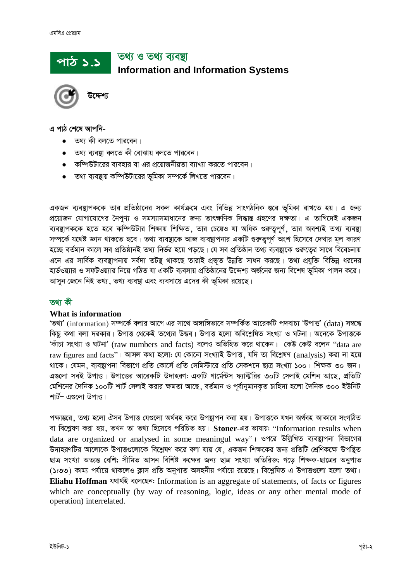# তথ্য ও তথ্য ব্যবস্থা পাঠ ১.১ **Information and Information Systems**

এ পাঠ শেষে আপনি-

- তথ্য কী বলতে পারবেন।
- তথ্য ব্যবষ্টা বলতে কী বোঝায় বলতে পারবেন।
- কম্পিউটারের ব্যবহার বা এর প্রয়োজনীয়তা ব্যাখ্যা করতে পারবেন।
- তথ্য ব্যবস্থায় কম্পিউটারের ভূমিকা সম্পর্কে লিখতে পারবেন।

একজন ব্যবস্থাপককে তার প্রতিষ্ঠানের সকল কার্যক্রমে এবং বিভিন্ন সাংগঠনিক স্তরে ভূমিকা রাখতে হয়। এ জন্য প্রয়োজন যোগাযোগের নৈপুণ্য ও সমস্যাসমাধানের জন্য তাৎক্ষণিক সিদ্ধান্ত গ্রহণের দক্ষতা। এ তাগিদেই একজন ব্যবস্থাপককে হতে হবে কম্পিউটার শিক্ষায় শিক্ষিত, তার চেয়েও যা অধিক গুরুতুপূর্ণ, তার অবশ্যই তথ্য ব্যবস্থা সম্পর্কে যথেষ্ট জ্ঞান থাকতে হবে। তথ্য ব্যবস্থাকে আজ ব্যবস্থাপনার একটি গুরুত্বপূর্ণ অংশ হিসেবে দেখার মূল কারণ হচ্ছে বর্তমান কালে সব প্রতিষ্ঠানই তথ্য নির্ভর হয়ে পড়ছে। যে সব প্রতিষ্ঠান তথ্য ব্যবস্থাকে গুরুত্বের সাথে বিবেচনায় এনে এর সার্বিক ব্যবস্থাপনায় সর্বদা তটন্থ থাকছে তারাই প্রভূত উন্নতি সাধন করছে। তথ্য প্রযুক্তি বিভিন্ন ধরনের হার্ডওয়্যার ও সফটওয়্যার নিয়ে গঠিত যা একটি ব্যবসায় প্রতিষ্ঠানের উদ্দেশ্য অর্জনের জন্য বিশেষ ভমিকা পালন করে। আসুন জেনে নিই তথ্য, তথ্য ব্যবস্থা এবং ব্যবসায়ে এদের কী ভূমিকা রয়েছে।

#### তথা কী

#### What is information

'তথ্য' (information) সম্পর্কে বলার আগে এর সাথে অঙ্গাঙ্গিভাবে সম্পর্কিত আরেকটি পদবাচ্য 'উপাত্ত' (data) সম্বন্ধে কিছু কথা বলা দরকার। উপাত্ত থেকেই তথ্যের উদ্ভব। উপাত্ত হলো অবিশ্লেষিত সংখ্যা ও ঘটনা। অনেকে উপাত্তকে 'কাঁচা সংখ্যা ও ঘটনা' (raw numbers and facts) বলেও অভিহিত করে থাকেন। কেউ কেউ বলেন "data are raw figures and facts"। আসল কথা হলো: যে কোনো সংখ্যাই উপাত্ত, যদি তা বিশ্লেষণ (analysis) করা না হয়ে থাকে। যেমন, ব্যবস্থাপনা বিভাগে প্রতি কোর্সে প্রতি সেমিস্টারে প্রতি সেকশনে ছাত্র সংখ্যা ১০০। শিক্ষক ৩০ জন। এগুলো সবই উপাত্ত। উপাত্তের আরেকটি উদাহরণ: একটি গার্মেন্টস ফ্যাব্দ্বিরির ৩০টি সেলাই মেশিন আছে, প্রতিটি মেশিনের দৈনিক ১০০টি শার্ট সেলাই করার ক্ষমতা আছে, বর্তমান ও পর্বানুমানকত চাহিদা হলো দৈনিক ৩০০ ইউনিট শার্ট– এগুলো উপাত্ত।

পক্ষান্তরে, তথ্য হলো ঐসব উপাত্ত যেগুলো অর্থবহ করে উপন্থাপন করা হয়। উপাত্তকে যখন অর্থবহ আকারে সংগঠিত বা বিশ্লেষণ করা হয়, তখন তা তথ্য হিসেবে পরিচিত হয়। Stoner-এর ভাষায়: "Information results when data are organized or analysed in some meaningul way"। ওপরে উল্লিখিত ব্যবস্থাপনা বিভাগের উদাহরণটির আলোকে উপাত্তগুলোকে বিশ্লেষণ করে বলা যায় যে, একজন শিক্ষকের জন্য প্রতিটি শ্রেণিকক্ষে উপস্থিত ছাত্র সংখ্যা অত্যন্ত বেশি; সীমিত আসন বিশিষ্ট কক্ষের জন্য ছাত্র সংখ্যা অতিরিক্ত; গড়ে শিক্ষক-ছাত্রের অনুপাত (১:৩৩) কাম্য পর্যায়ে থাকলেও ক্লাস প্রতি অনুপাত অসহনীয় পর্যায়ে রয়েছে। বিশ্লেষিত এ উপাত্তুলো হলো তথ্য। Eliahu Hoffman यथार्थই বলেছেন: Information is an aggregate of statements, of facts or figures which are conceptually (by way of reasoning, logic, ideas or any other mental mode of operation) interrelated.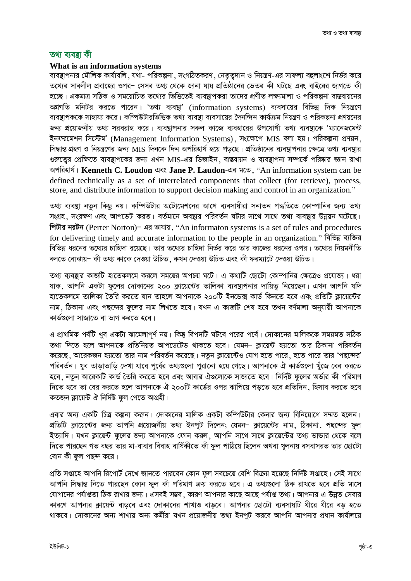#### তথ্য ব্যবস্তা কী

#### What is an information systems

ব্যবস্থাপনার মৌলিক কার্যাবলি , যথা- পরিকল্পনা , সংগঠিতকরণ , নেতৃত্বদান ও নিয়ন্ত্রণ-এর সাফল্য বহুলাংশে নির্ভর করে তথ্যের সাবলীল প্রবাহের ওপর– সেসব তথ্য থেকে জানা যায় প্রতিষ্ঠানের ভেতর কী ঘটছে এবং বাইরের জাগতে কী হচ্ছে। একমাত্র সঠিক ও সময়োচিত তথ্যের ভিত্তিতেই ব্যবষ্টাপকরা তাদের প্রণীত লক্ষ্যমালা ও পরিকল্পনা বাস্তবায়নের অগ্রগতি মনিটর করতে পারেন। 'তথ্য ব্যবস্থা' (information systems) ব্যবসায়ের বিভিন্ন দিক নিয়ন্ত্রণে ব্যবস্থাপককে সাহায্য করে। কম্পিউটারভিত্তিক তথ্য ব্যবস্থা ব্যবসায়ের দৈনন্দিন কার্যক্রম নিয়ন্ত্রণ ও পরিকল্পনা প্রণয়নের জন্য প্রয়োজনীয় তথ্য সরবরাহ করে। ব্যবস্থাপনার সকল কাজে ব্যবহারের উপযোগী তথ্য ব্যবস্থাকে 'ম্যানেজমেন্ট ইনফরমেশন সিস্টেম' (Management Information Systems), সংক্ষেপে MIS বলা হয়। পরিকল্পনা প্রণয়ন, সিদ্ধান্ত গ্রহণ ও নিয়ন্ত্রণের জন্য MIS দিনকে দিন অপরিহার্য হয়ে পডছে। প্রতিষ্ঠানের ব্যবস্থাপনার ক্ষেত্রে তথ্য ব্যবস্থার গুরুত্বের প্রেক্ষিতে ব্যবস্থাপকের জন্য এখন MIS-এর ডিজাইন, বাস্তবায়ন ও ব্যবস্থাপনা সম্পর্কে পরিষ্কার জ্ঞান রাখা অপরিহার্য। Kenneth C. Loudon এবং Jane P. Laudon-এর মতে, "An information system can be defined technically as a set of interrelated components that collect (for retrieve), process, store, and distribute information to support decision making and control in an organization."

তথ্য ব্যবস্থা নতুন কিছু নয়। কম্পিউটার অটোমেশনের আগে ব্যবসায়ীরা সনাতন পদ্ধতিতে কোম্পানির জন্য তথ্য সংগ্রহ, সংরক্ষণ এবং আপডেট করত। বর্তমানে অবষ্যার পরিবর্তন ঘটার সাথে সাথে তথ্য ব্যবষ্যার উন্নয়ন ঘটেছে। পিটার নরটন (Perter Norton)- এর ভাষায়, "An informaton systems is a set of rules and procedures for delivering timely and accurate information to the people in an organization." বিভিন্ন ব্যক্তির বিভিন্ন ধরনের তথ্যের চাহিদা রয়েছে। তার তথ্যের চাহিদা নির্ভর করে তার কাজের ধরনের ওপর। তথ্যের নিয়মনীতি বলতে বোঝায়– কী তথ্য কাকে দেওয়া উচিত ,কখন দেওয়া উচিত এবং কী ফরম্যাটে দেওয়া উচিত।

তথ্য ব্যবস্থার কাজটি হাতেকলমে করলে সময়ের অপচয় ঘটে। এ কথাটি ছোটো কোম্পানির ক্ষেত্রেও প্রযোজ্য। ধরা যাক, আপনি একটা ফলের দোকানের ২০০ ক্লায়েন্টের তালিকা ব্যবস্থাপনার দায়িত্ব নিয়েছেন। এখন আপনি যদি হাতেকলমে তালিকা তৈরি করতে যান তাহলে আপনাকে ২০০টি ইনডেক্স কার্ড কিনতে হবে এবং প্রতিটি ক্লায়েন্টের নাম, ঠিকানা এবং পছন্দের ফলের নাম লিখতে হবে। যখন এ কাজটি শেষ হবে তখন বর্ণমালা অনুযায়ী আপনাকে কার্ডগুলো সাজাতে বা ভাগ করতে হবে।

এ প্রাথমিক পর্বটি খুব একটা ঝামেলাপূর্ণ নয়। কিন্তু বিপদটি ঘটবে পরের পর্বে। দোকানের মালিককে সময়মত সঠিক তথ্য দিতে হলে আপনাকে প্রতিনিয়ত আপডেটেড থাকতে হবে। যেমন- ক্লায়েন্ট হয়তো তার ঠিকানা পরিবর্তন করেছে, আরেকজন হয়তো তার নাম পরিবর্তন করেছে। নতুন ক্লায়েন্টেও যোগ হতে পারে, হতে পারে তার 'পছন্দের' পরিবর্তন। খুব তাড়াতাড়ি দেখা যাবে পর্বের তথ্যগুলো পুরানো হয়ে গেছে। আপনাকে ঐ কার্ডগুলো খুঁজে বের করতে হবে, নতুন আরেকটি কার্ড তৈরি করতে হবে এবং আবার ঐগুলোকে সাজাতে হবে। নির্দিষ্ট ফুলের অর্ডার কী পরিমাণ দিতে হবে তা বের করতে হলে আপনাকে ঐ ২০০টি কার্ডের ওপর ঝাপিয়ে পডতে হবে প্রতিদিন, হিসাব করতে হবে কতজন কায়েন্ট ঐ নির্দিষ্ট ফল পেতে অগ্রহী।

এবার অন্য একটি চিত্র কল্পনা করুন। দোকানের মালিক একটা কম্পিউটার কেনার জন্য বিনিয়োগে সম্মত হলেন। প্রতিটি ক্লায়েন্টের জন্য আপনি প্রয়োজনীয় তথ্য ইনপুট দিলেন; যেমন– ক্লায়েন্টের নাম, ঠিকানা, পছন্দের ফুল ইত্যাদি। যখন ক্লায়েন্ট ফুলের জন্য আপনাকে ফোন করল, আপনি সাথে সাথে ক্লায়েন্টের তথ্য ভান্ডার থেকে বলে দিতে পারছেন গত বছর তার মা-বাবার বিবাহ বার্ষিকীতে কী ফল পাঠিয়ে ছিলেন অথবা খুলনায় বসবাসরত তার ছোটো বোন কী ফল পছন্দ করে।

প্রতি সপ্তাহে আপনি রিপোর্ট দেখে জানতে পারবেন কোন ফুল সবচেয়ে বেশি বিক্রয় হয়েছে নির্দিষ্ট সপ্তাহে। সেই সাথে আপনি সিদ্ধান্ত নিতে পারছেন কোন ফুল কী পরিমাণ ক্রয় করতে হবে। এ তথ্যগুলো ঠিক রাখতে হবে প্রতি মাসে যোগানের পর্যাপ্ততা ঠিক রাখার জন্য। এসবই সম্ভব, কারণ আপনার কাছে আছে পর্যাপ্ত তথ্য। আপনার এ উন্নত সেবার কারণে আপনার ক্লায়েন্ট বাডবে এবং দোকানের শাখাও বাডবে। আপনার ছোটো ব্যবসায়টি ধীরে ধীরে বড হতে থাকবে। দোকানের অন্য শাখায় অন্য কর্মীরা যখন প্রয়োজনীয় তথ্য ইনপুট করবে আপনি আপনার প্রধান কার্যালয়ে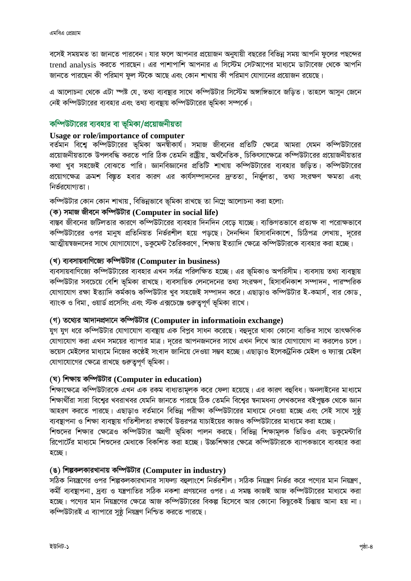বসেই সময়মত তা জানতে পারবেন। যার ফলে আপনার প্রয়োজন অনুযায়ী বছরের বিভিন্ন সময় আপনি ফুলের পছন্দের trend analysis করতে পারছেন। এর পাশাপাশি আপনার এ সিস্টেম সেটআপের মাধ্যমে ডাটাবেজ থেকে আপনি জানতে পারছেন কী পরিমাণ ফুল স্টকে আছে এবং কোন শাখায় কী পরিমাণ যোগানের প্রয়োজন রয়েছে।

এ আলোচনা থেকে এটা স্পষ্ট যে, তথ্য ব্যবস্থার সাথে কম্পিউটার সিস্টেম অঙ্গাঙ্গিভাবে জড়িত। তাহলে আসুন জেনে নেই কম্পিউটারের ব্যবহার এবং তথ্য ব্যবস্থায় কম্পিউটারের ভূমিকা সম্পর্কে।

#### কম্পিউটারের ব্যবহার বা ভূমিকা/প্রয়োজনীয়তা

#### **Usage or role/importance of computer**

বর্তমান বিশ্বে কম্পিউটারের ভূমিকা অনন্থীকার্য। সমাজ জীবনের প্রতিটি ক্ষেত্রে আমরা যেমন কম্পিউটারের প্রয়োজনীয়তাকে উপলবদ্ধি করতে পারি ঠিক তেমনি রাষ্ট্রীয়, অর্থনৈতিক, চিকিৎসাক্ষেত্রে কম্পিউটারের প্রয়োজনীয়তার কথা খুব সহজেই বোঝতে পারি। জ্ঞানবিজ্ঞানের প্রতিটি শাখায় কম্পিউটারের ব্যবহার জড়িত। কম্পিউটারের প্রয়োগক্ষেত্র ক্রমশ বিস্তৃত হবার কারণ এর কার্যসম্পাদনের দ্রুততা, নির্ভুলতা, তথ্য সংরক্ষণ ক্ষমতা এবং  $f$ নির্ভরযোগ্যতা।

কম্পিউটার কোন কোন শাখায়, বিভিন্নভাবে ভূমিকা রাখছে তা নিম্নে আলোচনা করা হলো:

#### **(K) mgvR Rxe‡b Kw¤úDUvi (Computer in social life)**

বাস্তব জীবনের জটিলতার কারণে কম্পিউটারের ব্যবহার দিনদিন বেড়ে যাচ্ছে। ব্যক্তিগতভাবে প্রত্যক্ষ বা পরোক্ষভাবে কম্পিউটারের ওপর মানুষ প্রতিনিয়ত নির্ভরশীল হয়ে পড়ছে। দৈনন্দিন হিসাবনিকাশে, চিঠিপত্র লেখায়, দূরের আত্মীয়ম্বজনদের সাথে যোগাযোগে, ডকুমেন্ট তৈরিকরণে, শিক্ষায় ইত্যাদি ক্ষেত্রে কম্পিউটারকে ব্যবহার করা হচ্ছে।

#### (খ) ব্যবসায়বাণিজ্যে কম্পিউটার (Computer in business)

ব্যবসায়বাণিজ্যে কম্পিউটারের ব্যবহার এখন সর্বত্র পরিলক্ষিত হচ্ছে। এর ভূমিকাও অপরিসীম। ব্যবসায় তথ্য ব্যবস্থায় কম্পিউটার সবচেয়ে বেশি ভূমিকা রাখছে। ব্যবসায়িক লেনদেনের তথ্য সংরক্ষণ, হিসাবনিকাশ সম্পাদন, পারস্পরিক যোগাযোগ রক্ষা ইত্যাদি কর্মকাণ্ড কম্পিউটার খুব সহজেই সম্পাদন করে। এছাড়াও কম্পিউটার ই-কমার্স, বার কোড, ব্যাংক ও বিমা, ওয়ার্ড প্রসেসিং এবং স্টক এক্সচেঞ্জে গুরুত্বপূর্ণ ভূমিকা রাখে।

#### **(M) Z‡\_¨i Av`vbcÖ`v‡b Kw¤úDUvi (Computer in informatioin exchange)**

যুগ যুগ ধরে কম্পিউটার যোগাযোগ ব্যবন্থায় এক বিপুব সাধন করেছে। বহুদুরে থাকা কোনো ব্যক্তির সাথে তাৎক্ষণিক যোগাযোগ করা এখন সময়ের ব্যাপার মাত্র। দূরের আপনজনদের সাথে এখন লিখে আর যোগাযোগ না করলেও চলে। ভয়েস মেইলের মাধ্যমে নিজের কণ্ঠেই সংবাদ জানিয়ে দেওয়া সম্ভব হচ্ছে। এছাড়াও ইলেকট্রনিক মেইল ও ফ্যাক্স মেইল যোগাযোগের ক্ষেত্রে রাখছে গুরুতুপূর্ণ ভূমিকা।

#### **(N) wkÿvq Kw¤úDUvi (Computer in education)**

শিক্ষাক্ষেত্রে কম্পিউটারকে এখন এক রকম বাধ্যতামূলক করে ফেলা হয়েছে। এর কারণ বহুবিধ। অনলাইনের মাধ্যমে শিক্ষার্থীরা সারা বিশ্বের খবরাখবর যেমনি জানতে পারছে ঠিক তেমনি বিশ্বের স্বনামধন্য লেখকদের বইপুস্তক থেকে জ্ঞান আহরণ করতে পারছে। এছাড়াও বর্তমানে বিভিন্ন পরীক্ষা কম্পিউটারের মাধ্যমে নেওয়া হচ্ছে এবং সেই সাথে সুষ্ঠূ ব্যবস্থাপনা ও শিক্ষা ব্যবস্থায় গতিশীলতা রক্ষার্থে উত্তরপত্র যাচাইয়ের কাজও কম্পিউটারের মাধ্যমে করা হচ্ছে।

শিশুদের শিক্ষার ক্ষেত্রেও কম্পিউটার অগ্রণী ভূমিকা পালন করছে। বিভিন্ন শিক্ষামূলক ভিডিও এবং ডকুমেন্টারি রিপোর্টের মাধ্যমে শিশুদের মেধাকে বিকশিত করা হচ্ছে। উচ্চশিক্ষার ক্ষেত্রে কম্পিউটারকে ব্যাপকভাবে ব্যবহার করা হচ্ছে।

#### (ঙ) শিল্পকলকারখানায় কম্পিউটার (Computer in industry)

সঠিক নিয়ন্ত্রণের ওপর শিল্পকলকারখানার সাফল্য বহুলাংশে নির্ভরশীল। সঠিক নিয়ন্ত্রণ নির্ভর করে পণ্যের মান নিয়ন্ত্রণ কর্মী ব্যবস্থাপনা, দ্রব্য ও যন্ত্রপাতির সঠিক নকশা প্রণয়নের ওপর। এ সমন্ত কাজই আজ কম্পিউটারের মাধ্যমে করা হচ্ছে। পণ্যের মান নিয়ন্ত্রণের ক্ষেত্রে আজ কম্পিউটারের বিকল্প হিসেবে আর কোনো কিছুকেই চিন্তায় আনা হয় না। কম্পিউটারই এ ব্যাপারে সুষ্ঠূ নিয়ন্ত্রণ নিশ্চিত করতে পারছে।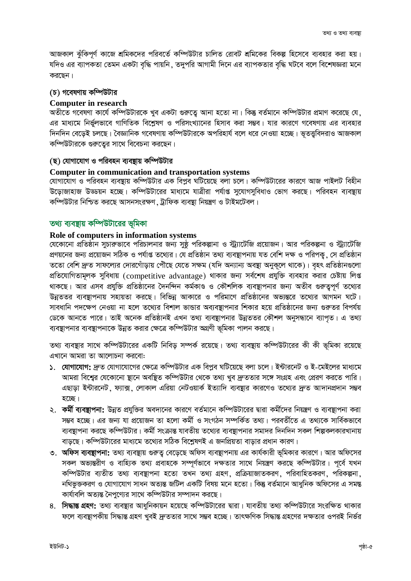আজকাল ঝুঁকিপূর্ণ কাজে শ্রমিকদের পরিবর্তে কম্পিউটার চালিত রোবট শ্রমিকের বিকল্প হিসেবে ব্যবহার করা হয়। যদিও এর ব্যাপকতা তেমন একটা বৃদ্ধি পায়নি , তদুপরি আগামী দিনে এর ব্যাপকতার বৃদ্ধি ঘটবে বলে বিশেষজ্ঞরা মনে করছেন।

#### (চ) গবেষণায় কম্পিউটার

#### **Computer in research**

অতীতে গবেষণা কার্যে কম্পিউটারকে খুব একটা গুরুত্বে আনা হতো না। কিন্তু বর্তমানে কম্পিউটার প্রমাণ করেছে যে, এর মাধ্যমে নির্ভুলভাবে গাণিতিক বিশ্লেষণ ও পরিসংখ্যানের হিসাব করা সম্ভব। যার কারণে গবেষণায় এর ব্যবহার দিনদিন বেড়েই চলছে। বৈজ্ঞানিক গবেষণায় কম্পিউটারকে অপরিহার্য বলে ধরে নেওয়া হচ্ছে। ভূতত্ত্ববিদরাও আজকাল কম্পিউটারকে গুরুত্বের সাথে বিবেচনা করছেন।

#### (ছ) যোগাযোগ ও পরিবহন ব্যবছায় কম্পিউটার

#### **Computer in communication and transportation systems**

যোগাযোগ ও পরিবহন ব্যবস্থায় কম্পিউটার এক বিপুব ঘটিয়েছে বলা চলে। কম্পিউটারের কারণে আজ পাইলট বিহীন উড়োজাহাজ উড্ডয়ন হচ্ছে। কম্পিউটারের মাধ্যমে যাত্রীরা পর্যাপ্ত সুযোগসুবিধাও ভোগ করছে। পরিবহন ব্যবন্থায় কম্পিউটার নিশ্চিত করছে আসনসংরক্ষণ, ট্রাফিক ব্যবস্থা নিয়ন্ত্রণ ও টাইমটেবল।

#### তথ্য ব্যবস্থায় কম্পিউটারের ভূমিকা

#### Role of computers in information systems

যেকোনো প্রতিষ্ঠান সুচারুভাবে পরিচালনার জন্য সুষ্ঠু পরিকল্পানা ও স্ট্র্যাটেজি প্রয়োজন। আর পরিকল্পনা ও স্ট্র্যাটেজি প্রণয়নের জন্য প্রয়োজন সঠিক ও পর্যাপ্ত তথ্যের। যে প্রতিষ্ঠান তথ্য ব্যবস্থাপনায় যত বেশি দক্ষ ও পরিপকু, সে প্রতিষ্ঠান ততো বেশি দ্রুত সাফল্যের দোরগোঁড়ায় পৌঁছে যেতে সক্ষম (যদি অন্যান্য অবস্থা অনুকূলে থাকে)। বৃহৎ প্রতিষ্ঠানগুলো প্রতিযোগিতামূলক সুবিধায় (competitive advantage) থাকার জন্য সর্বশেষ প্রযুক্তি ব্যবহার করার চেষ্টায় লিপ্ত থাকছে। আর এসব প্রযুক্তি প্রতিষ্ঠানের দৈনন্দিন কর্মকাণ্ড ও কৌশলিক ব্যবস্থাপনার জন্য অতীব গুরুত্বপূর্ণ তথ্যের উন্নততর ব্যবস্থাপনায় সহায়তা করছে। বিভিন্ন আকারে ও পরিমাণে প্রতিষ্ঠানের অভ্যন্তরে তথ্যের আগমন ঘটে। সাবধানি পদক্ষেপ নেওয়া না হলে তথ্যের বিশাল ভান্ডার অব্যবস্থাপনার শিকার হয়ে প্রতিষ্ঠানের জন্য গুরুতর বিপর্যয় ডেকে আনতে পারে। তাই অনেক প্রতিষ্ঠানই এখন তথ্য ব্যবস্থাপনার উন্নততর কৌশল অনুসন্ধানে ব্যাপত। এ তথ্য ব্যবস্থাপনার ব্যবস্থাপনাকে উন্নত করার ক্ষেত্রে কম্পিউটার অগ্রণী ভূমিকা পালন করছে।

তথ্য ব্যবস্থার সাথে কম্পিউটারের একটি নিবিড় সম্পর্ক রয়েছে। তথ্য ব্যবস্থায় কম্পিউটারের কী কী ভূমিকা রয়েছে এখানে আমরা তা আলোচনা করবো:

- ১. যোগাযোগ: দ্রুত যোগাযোগের ক্ষেত্রে কম্পিউটার এক বিপুব ঘটিয়েছে বলা চলে। ইন্টারনেট ও ই-মেইলের মাধ্যমে আমরা বিশ্বের যেকোনো ছানে অবছিত কম্পিউটার থেকে তথ্য খুব দ্রুততার সঙ্গে সংগ্রহ এবং প্রেরণ করতে পারি। এছাড়া ইন্টারনেট, ফ্যাক্স, লোকাল এরিয়া নেটওয়ার্ক ইত্যাদি ব্যবস্থার কারণেও তথ্যের দ্রুত আদানপ্রদান সম্ভব হচ্ছে।
- ২. **কর্মী ব্যবস্থাপনা:** উন্নত প্রযুক্তির অবদানের কারণে বর্তমানে কম্পিউটারের দ্বারা কর্মীদের নিয়ন্ত্রণ ও ব্যবস্থাপনা করা সম্ভব হচ্ছে। এর জন্য যা প্রয়োজন তা হলো কর্মী ও সংগঠন সম্পর্কিত তথ্য। পরবর্তীতে এ তথ্যকে সার্বিকভাবে ব্যবস্থাপনা করছে কম্পিউটার। কর্মী সংক্রান্ত যাবতীয় তথ্যের ব্যবস্থাপনার সমাদর দিনদিন সকল শিল্পকলকারখানায় বাড়ছে। কম্পিউটারের মাধ্যমে তথ্যের সঠিক বিশ্লেষণই এ জনপ্রিয়তা বাড়ার প্রধান কারণ।
- ৩. **অফিস ব্যবন্থাপনা:** তথ্য ব্যবস্থায় গুরুত্ব বেড়েছে অফিস ব্যবস্থাপনায় এর কার্যকারী ভূমিকার কারণে। আর অফিসের সকল অভ্যন্তরীণ ও বাহ্যিক তথ্য প্রবাহকে সম্পূর্ণভাবে দক্ষতার সাথে নিয়ন্ত্রণ করছে কম্পিউটার। পূর্বে যখন কম্পিউটার ব্যতীত তথ্য ব্যবস্থাপনা হতো তখন তথ্য গ্রহণ, প্রক্রিয়াজাতকরণ, পরিবাহিতকরণ, পরিকল্পনা, নথিভুক্তকরণ ও যোগাযোগ সাধন অত্যন্ত জটিল একটি বিষয় মনে হতো। কিন্তু বর্তমানে আধুনিক অফিসের এ সমন্ত কার্যাবলি অত্যন্ত নৈপুণ্যের সাথে কম্পিউটার সম্পাদন করছে।
- ৪. **সিদ্ধান্ত গ্রহণ:** তথ্য ব্যবস্থার আধুনিকায়ন হয়েছে কম্পিউটারের দ্বারা। যাবতীয় তথ্য কম্পিউটারে সংরক্ষিত থাকার ফলে ব্যবস্থাপকীয় সিদ্ধান্ত গ্রহণ খুবই দ্রুততার সাথে সম্ভব হচেছ। তাৎক্ষণিক সিদ্ধান্ত গ্রহণের দক্ষতার ওপরই নির্ভর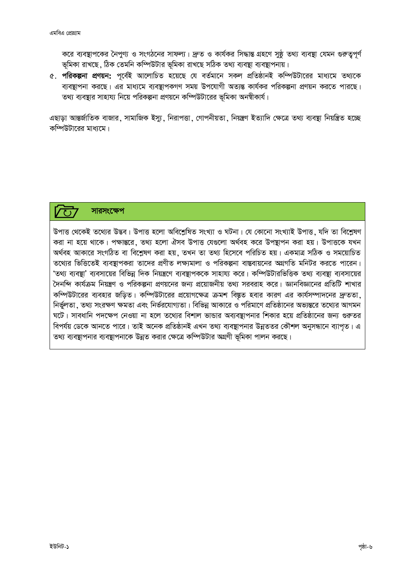করে ব্যবস্থাপকের নৈপুণ্য ও সংগঠনের সাফল্য। দ্রুত ও কার্যকর সিদ্ধান্ত গ্রহণে সুষ্ঠু তথ্য ব্যবস্থা যেমন গুরুত্বপূর্ণ ভূমিকা রাখছে, ঠিক তেমনি কম্পিউটার ভূমিকা রাখছে সঠিক তথ্য ব্যবস্থা ব্যবস্থাপনায়।

৫. পরিকল্পনা প্রণয়ন: পূর্বেই আলোচিত হয়েছে যে বর্তমানে সকল প্রতিষ্ঠানই কম্পিউটারের মাধ্যমে তথ্যকে ব্যবস্থাপনা করছে। এর মাধ্যমে ব্যবস্থাপকগণ সময় উপযোগী অত্যন্ত কার্যকর পরিকল্পনা প্রণয়ন করতে পারছে। তথ্য ব্যবষ্টার সাহায্য নিয়ে পরিকল্পনা প্রণয়নে কম্পিউটারের ভূমিকা অনম্বীকার্য।

এছাডা আন্তর্জাতিক বাজার, সামাজিক ইস্য, নিরাপত্তা, গোপনীয়তা, নিয়ন্ত্রণ ইত্যাদি ক্ষেত্রে তথ্য ব্যবস্থা নিয়ন্ত্রিত হচ্ছে কম্পিউটাবেব মাধ্যমে।

## সাৱসংক্ষেপ

উপাত্ত থেকেই তথ্যের উদ্ভব। উপাত্ত হলো অবিশ্লেষিত সংখ্যা ও ঘটনা। যে কোনো সংখ্যাই উপাত্ত, যদি তা বিশ্লেষণ করা না হয়ে থাকে। পক্ষান্তরে, তথ্য হলো ঐসব উপাত্ত যেগুলো অর্থবহ করে উপষ্টাপন করা হয়। উপাত্তকে যখন অৰ্থবহ আকারে সংগঠিত বা বিশ্লেষণ করা হয়, তখন তা তথ্য হিসেবে পরিচিত হয়। একমাত্র সঠিক ও সময়োচিত তথ্যের ভিত্তিতেই ব্যবস্থাপকরা তাদের প্রণীত লক্ষ্যমালা ও পরিকল্পনা বাস্তবায়নের অগ্রগতি মনিটর করতে পারেন। 'তথ্য ব্যবস্থা' ব্যবসায়ের বিভিন্ন দিক নিয়ন্ত্রণে ব্যবস্থাপককে সাহায্য করে। কম্পিউটারভিত্তিক তথ্য ব্যবস্থা ব্যবসায়ের দৈনন্দি কার্যক্রম নিয়ন্ত্রণ ও পরিকল্পনা প্রণয়নের জন্য প্রয়োজনীয় তথ্য সরবরাহ করে। জ্ঞানবিজ্ঞানের প্রতিটি শাখার কম্পিউটারের ব্যবহার জড়িত। কম্পিউটারের প্রয়োগক্ষেত্র ক্রমশ বিষ্ণুত হবার কারণ এর কার্যসম্পাদনের দ্রুততা, নির্ভুলতা, তথ্য সংরক্ষণ ক্ষমতা এবং নির্ভরযোগ্যতা। বিভিন্ন আকারে ও পরিমাণে প্রতিষ্ঠানের অভ্যন্তরে তথ্যের আগমন ঘটে। সাবধানি পদক্ষেপ নেওয়া না হলে তথ্যের বিশাল ভান্ডার অব্যবস্থাপনার শিকার হয়ে প্রতিষ্ঠানের জন্য গুরুতর বিপর্যয় ডেকে আনতে পারে। তাই অনেক প্রতিষ্ঠানই এখন তথ্য ব্যবস্থাপনার উন্নততর কৌশল অনুসন্ধানে ব্যাপত। এ তথ্য ব্যবস্থাপনার ব্যবস্থাপনাকে উন্নত করার ক্ষেত্রে কম্পিউটার অগ্রণী ভূমিকা পালন করছে।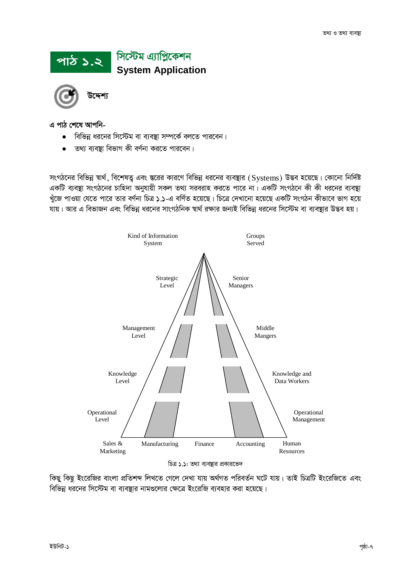# পাঠ ১.২ গিস্টেম এ্যাপ্লিকেশন<br>System Application



উদ্দেশ্য

এ পাঠ শেষে আপনি-

- বিভিন্ন ধরনের সিস্টেম বা ব্যবস্থা সম্পর্কে বলতে পারবেন।  $\bullet$
- তথ্য ব্যবস্তা বিভাগ কী বর্ণনা করতে পারবেন।

সংগঠনের বিভিন্ন স্বার্থ, বিশেষতু এবং স্তরের কারণে বিভিন্ন ধরনের ব্যবস্থার (Systems) উদ্ভব হয়েছে। কোনো নির্দিষ্ট একটি ব্যবস্থা সংগঠনের চাহিদা অনুযায়ী সকল তথ্য সরবরাহ করতে পারে না। একটি সংগঠনে কী কী ধরনের ব্যবস্থা খুঁজে পাওয়া যেতে পারে তার বর্ণনা চিত্র ১.১-এ বর্ণিত হয়েছে। চিত্রে দেখানো হয়েছে একটি সংগঠন কীভাবে ভাগ হয়ে যায়। আর এ বিভাজন এবং বিভিন্ন ধরনের সাংগঠনিক স্বার্থ রক্ষার জন্যই বিভিন্ন ধরনের সিস্টেম বা ব্যবষ্টার উদ্ভব হয়।



চিত্র ১.১: তথ্য ব্যবস্থার প্রকারভেদ

কিছু কিছু ইংরেজির বাংলা প্রতিশব্দ লিখতে গেলে দেখা যায় অর্থগত পরিবর্তন ঘটে যায়। তাই চিত্রটি ইংরেজিতে এবং বিভিন্ন ধরনের সিস্টেম বা ব্যবস্থার নামগুলোর ক্ষেত্রে ইংরেজি ব্যবহার করা হয়েছে।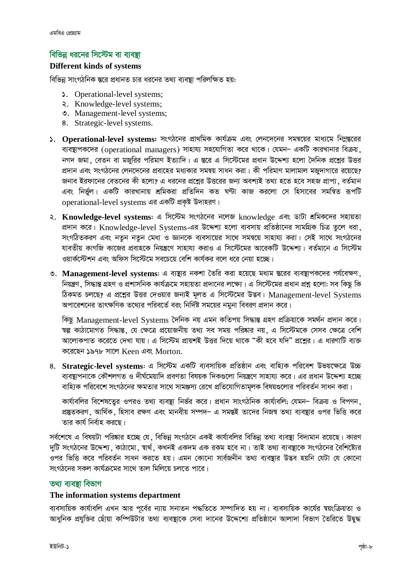### বিভিন্ন ধরনের সিস্টেম বা ব্যবষ্টা

#### **Different kinds of systems**

বিভিন্ন সাংগঠনিক স্তরে প্রধানত চার ধরনের তথ্য ব্যবষ্থা পরিলক্ষিত হয়:

- S. Operational-level systems;
- **Research** Systems;
- **v.** Management-level systems;
- 8. Strategic-level systems.
- ১. Operational-level systems: সংগঠনের প্রাথমিক কার্যক্রম এবং লেনদেনের সমন্বয়ের মাধ্যমে নিম্লন্তরের ব্যবস্থাপকদের (operational managers) সাহায্য সহযোগিতা করে থাকে। যেমন- একটি কারখানার বিক্রয় নগদ জমা, বেতন বা মজুরির পরিমাণ ইত্যাদি। এ স্তরে এ সিস্টেমের প্রধান উদ্দেশ্য হলো দৈনিক প্রশ্লের উত্তর প্রদান এবং সংগঠনের লেনদেনের প্রবাহের মধ্যকার সমন্বয় সাধন করা। কী পরিমাণ মালামাল মজুদাগারে রয়েছে? জনাব ইরফানের বেতনের কী হলো? এ ধরনের প্রশ্নের উত্তরের জন্য অবশ্যই তথ্য হতে হবে সহজ প্রাপ্য ়বর্তমান এবং নির্ভুল। একটি কারখানায় শ্রমিকরা প্রতিদিন কত ঘণ্টা কাজ করলো সে হিসাবের সমন্বিত রূপটি operational-level systems এর একটি প্রকষ্ট উদাহরণ।
- ২. Knowledge-level systems: এ সিস্টেম সংগঠনের নলেজ knowledge এবং ডাটা শ্রমিকদের সহায়তা প্রদান করে। Knowledge-level Systems-এর উদ্দেশ্য হলো ব্যবসায় প্রতিষ্ঠানের সামগ্রিক চিত্র তুলে ধরা. সংগঠিতকরণ এবং নতুন নতুন মেধা ও জ্ঞানকে ব্যবসায়ের সাথে সমন্বয়ে সাহায্য করা। সেই সাথে সংগঠনের যাবতীয় কাগজি কাজের প্রবাহকে নিয়ন্ত্রণে সাহায্য করাও এ সিস্টেমের আরেকটি উদ্দেশ্য। বর্তমানে এ সিস্টেম ওয়ার্কস্টেশন এবং অফিস সিস্টেমে সবচেয়ে বেশি কার্যকর বলে ধরে নেয়া হচ্ছে।
- ৩. Management-level systems: এ ব্যম্ভার নকশা তৈরি করা হয়েছে মধ্যম স্তরের ব্যবস্থাপকদের পর্যবেক্ষণ, নিয়ন্ত্রণ, সিদ্ধান্ত গ্রহণ ও প্রশাসনিক কার্যক্রমে সহায়তা প্রদানের লক্ষ্যে। এ সিস্টেমের প্রধান প্রশ্ন হলো: সব কিছু কি ঠিকমত চলছে? এ প্রশ্নের উত্তর দেওয়ার জন্যই মূলত এ সিস্টেমের উদ্ভব। Management-level Systems অপারেশনের তাৎক্ষণিক তথ্যের পরিবর্তে বরং নির্দিষ্ট সময়ের নমুনা বিবরণ প্রদান করে।

কিছু Management-level Systems দৈনিক নয় এমন কতিপয় সিদ্ধান্ত গ্ৰহণ প্ৰক্ৰিয়াকে সমৰ্থন প্ৰদান করে। ম্বল্প কাঠামোগত সিদ্ধান্ত, যে ক্ষেত্রে প্রয়োজনীয় তথ্য সব সময় পরিষ্কার নয়, এ সিস্টেমকে সেসব ক্ষেত্রে বেশি আলোকপাত করেতে দেখা যায়। এ সিস্টেম প্রায়শই উত্তর দিয়ে থাকে "কী হবে যদি" প্রশ্নের। এ ধারণাটি ব্যক্ত করেছেন ১৯৭৮ সালে Keen এবং Morton.

8. Strategic-level systems: এ সিস্টেম একটি ব্যবসায়িক প্রতিষ্ঠান এবং বাহ্যিক পরিবেশ উভয়ক্ষেত্রে উচ্চ ব্যবস্থাপনাকে কৌশলগত ও দীর্ঘমেয়াদি প্রবণতা বিষয়ক দিকগুলো নিয়ন্ত্রণে সাহায্য করে। এর প্রধান উদ্দেশ্য হচ্ছে বাহ্যিক পরিবেশে সংগঠনের ক্ষমতার সাথে সামঞ্জস্য রেখে প্রতিযোগিতামূলক বিষয়গুলোর পরিবর্তন সাধন করা।

কার্যাবলির বিশেষতেুর ওপরও তথ্য ব্যবস্থা নির্ভর করে। প্রধান সাংগঠনিক কার্যাবলি; যেমন- বিক্রয় ও বিপণন, প্রষ্কৃতকরণ, আর্থিক, হিসাব রক্ষণ এবং মানবীয় সম্পদ– এ সমন্তই তাদের নিজম্ব তথ্য ব্যবষ্টার ওপর ভিত্তি করে তার কার্য নির্বাহ করছে।

সর্বশেষে এ বিষয়টা পরিষ্কার হচ্ছে যে, বিভিন্ন সংগঠনে একই কার্যাবলির বিভিন্ন তথ্য ব্যবস্থা বিদ্যমান রয়েছে। কারণ দুটি সংগঠনের উদ্দেশ্য, কাঠামো, শ্বার্থ, কখনই একদম এক রকম হবে না। তাই তথ্য ব্যবস্থাকে সংগঠনের বৈশিষ্ট্যের ওপর ভিত্তি করে পরিবর্তন সাধন করতে হয়। এমন কোনো সার্বজনীন তথ্য ব্যবষ্ণার উদ্ভব হয়নি যেটা যে কোনো সংগঠনের সকল কার্যক্রমের সাথে তাল মিলিয়ে চলতে পারে।

#### তথ্য ব্যবদ্বা বিভাগ

#### The information systems department

ব্যবসায়িক কার্যাবলি এখন আর পূর্বের ন্যায় সনাতন পদ্ধতিতে সম্পাদিত হয় না। ব্যবসায়িক কার্যের শ্বয়ংক্রিয়তা ও আধুনিক প্রযুক্তির ছোঁয়া কম্পিউটার তথ্য ব্যবস্থাকে সেবা দানের উদ্দেশ্যে প্রতিষ্ঠানে আলাদা বিভাগ তৈরিতে উদ্বুদ্ধ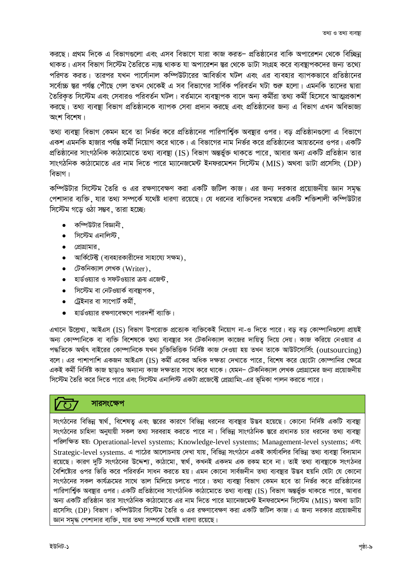করছে। প্রথম দিকে এ বিভাগগুলো এবং এসব বিভাগে যারা কাজ করত– প্রতিষ্ঠানের বাকি অপারেশন থেকে বিচ্ছিন্ন থাকত। এসব বিভাগ সিস্টেম তৈরিতে ন্যন্ত থাকত যা অপারেশন স্তর থেকে ডাটা সংগ্রহ করে ব্যবস্থাপকদের জন্য তথ্যে পরিণত করত। তারপর যখন পার্সোনাল কম্পিউটারের আবির্ভাব ঘটল এবং এর ব্যবহার ব্যাপকভাবে প্রতিষ্ঠানের সর্বোচ্চ ন্তর পর্যন্ত পৌঁছে গেল তখন থেকেই এ সব বিভাগের সার্বিক পরিবর্তন ঘটা শুরু হলো। এমনকি তাদের দ্বারা তৈরিকত সিস্টেম এবং সেবারও পরিবর্তন ঘটল। বর্তমানে ব্যবষ্টাপক বাদে অন্য কর্মীরা তথ্য কর্মী হিসেবে আত্মপ্রকাশ করছে। তথ্য ব্যবষ্ণা বিভাগ প্রতিষ্ঠানকে ব্যাপক সেবা প্রদান করছে এবং প্রতিষ্ঠানের জন্য এ বিভাগ এখন অবিভাজ্য অংশ বিশেষ।

তথ্য ব্যবষ্থা বিভাগ কেমন হবে তা নির্ভর করে প্রতিষ্ঠানের পারিপার্শ্বিক অবষ্থার ওপর। বড় প্রতিষ্ঠানগুলো এ বিভাগে একশ এমনকি হাজার পর্যন্ত কর্মী নিয়োগ করে থাকে। এ বিভাগের নাম নির্ভর করে প্রতিষ্ঠানের আয়তনের ওপর। একটি প্রতিষ্ঠানের সাংগঠনিক কাঠামোতে তথ্য ব্যবস্থা (IS) বিভাগ অন্তর্ভুক্ত থাকতে পারে, আবার অন্য একটি প্রতিষ্ঠান তার সাংগঠনিক কাঠামোতে এর নাম দিতে পারে ম্যানেজমেন্ট ইনফরমেশন সিস্টেম (MIS) অথবা ডাটা প্রসেসিং (DP) বিভাগ।

কম্পিউটার সিস্টেম তৈরি ও এর রক্ষণাবেক্ষণ করা একটি জটিল কাজ। এর জন্য দরকার প্রয়োজনীয় জ্ঞান সমৃদ্ধ পেশাদার ব্যক্তি, যার তথ্য সম্পর্কে যথেষ্ট ধারণা রয়েছে। যে ধরনের ব্যক্তিদের সমন্বয়ে একটি শক্তিশালী কম্পিউটার সিস্টেম গড়ে ওঠা সম্ভব, তারা হচ্ছে:

- কম্পিউটার বিজ্ঞানী
- সিস্টেম এনালিস্ট ,  $\bullet$
- প্রোগ্রামার.
- আর্কিটেক্ট (ব্যবহারকারীদের সাহায্যে সক্ষম).
- $\bullet$  টেকনিক্যাল লেখক (Writer).
- $\bullet$  হার্ডওয়্যার ও সফটওয়্যার ক্রয় এজেন্ট,
- সিস্টেম বা নেটওয়ার্ক ব্যবস্থাপক ,  $\bullet$
- ট্রেইনার বা সাপোর্ট কর্মী.  $\bullet$
- হার্ডওয়্যার রক্ষণাবেক্ষণে পারদর্শী ব্যাক্তি।  $\bullet$

এখানে উল্লেখ্য, আইএস (IS) বিভাগ উপরোক্ত প্রত্যেক ব্যক্তিকেই নিয়োগ না-ও দিতে পারে। বড় বড় কোম্পানিগুলো প্রায়ই অন্য কোম্পানিকে বা ব্যক্তি বিশেষকে তথ্য ব্যবস্থার সব টেকনিক্যাল কাজের দায়িত্ব দিয়ে দেয়। কাজ করিয়ে নেওয়ার এ পদ্ধতিকে অর্থাৎ বাইরের কোম্পানিকে যখন চুক্তিভিত্তিক নির্দিষ্ট কাজ দেওয়া হয় তখন তাকে আউটসোর্সিং (outsourcing) বলে। এর পাশাপাশি একজন আইএস (IS) কর্মী একের অধিক দক্ষতা দেখাতে পারে, বিশেষ করে ছোটো কোম্পানির ক্ষেত্রে একই কর্মী নির্দিষ্ট কাজ ছাডাও অন্যান্য কাজ দক্ষতার সাথে করে থাকে। যেমন– টেকনিক্যাল লেখক প্রোগ্রামের জন্য প্রয়োজনীয় সিস্টেম তৈরি করে দিতে পারে এবং সিস্টেম এনালিস্ট একটা প্রজেক্টে প্রোগ্রামিং-এর ভূমিকা পালন করতে পারে।

#### সারসংক্ষেপ

সংগঠনের বিভিন্ন স্বার্থ, বিশেষত এবং স্তরের কারণে বিভিন্ন ধরনের ব্যবস্থার উদ্ভব হয়েছে। কোনো নির্দিষ্ট একটি ব্যবস্থা সংগঠনের চাহিদা অনুযায়ী সকল তথ্য সরবরাহ করতে পারে না। বিভিন্ন সাংগঠনিক স্তরে প্রধানত চার ধরনের তথ্য ব্যবস্থা পরিলক্ষিত হয়: Operational-level systems; Knowledge-level systems; Management-level systems; এবং Strategic-level systems. এ পাঠের আলোচনায় দেখা যায়, বিভিন্ন সংগঠনে একই কার্যাবলির বিভিন্ন তথ্য ব্যবস্থা বিদ্যমান রয়েছে। কারণ দুটি সংগঠনের উদ্দেশ্য, কাঠামো, স্বার্থ, কখনই একদম এক রকম হবে না। তাই তথ্য ব্যবস্থাকে সংগঠনর বৈশিষ্ট্যের ওপর ভিত্তি করে পরিবর্তন সাধন করতে হয়। এমন কোনো সার্বজনীন তথ্য ব্যবস্থার উদ্ভব হয়নি যেটা যে কোনো সংগঠনের সকল কার্যক্রমের সাথে তাল মিলিয়ে চলতে পারে। তথ্য ব্যবস্থা বিভাগ কেমন হবে তা নির্ভর করে প্রতিষ্ঠানের পারিপার্শ্বিক অবষ্থার ওপর। একটি প্রতিষ্ঠানের সাংগঠনিক কাঠামোতে তথ্য ব্যবস্থা (IS) বিভাগ অন্তর্ভুক্ত থাকতে পারে, আবার অন্য একটি প্রতিষ্ঠান তার সাংগঠনিক কাঠামোতে এর নাম দিতে পারে ম্যানেজমেন্ট ইনফরমেশন সিস্টেম (MIS) অথবা ডাটা প্রসেসিং (DP) বিভাগ। কম্পিউটার সিস্টেম তৈরি ও এর রক্ষণাবেক্ষণ করা একটি জটিল কাজ। এ জন্য দরকার প্রয়োজনীয় জ্ঞান সমদ্ধ পেশাদার ব্যক্তি, যার তথ্য সম্পর্কে যথেষ্ট ধারণা রয়েছে।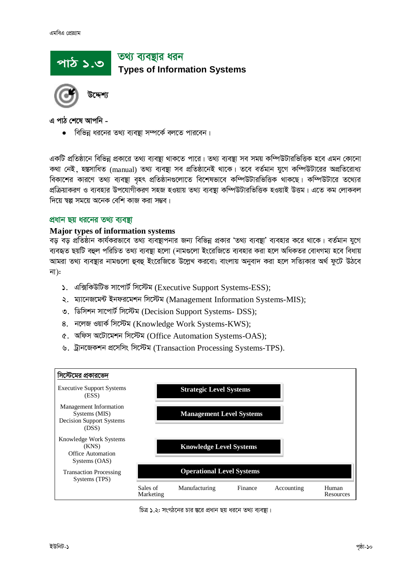# তথ্য ব্যবষ্টার ধরন <u>পাঠ ১.৩</u> **Types of Information Systems**

এ পাঠ শেষে আপনি -

বিভিন্ন ধরনের তথ্য ব্যবস্থা সম্পর্কে বলতে পারবেন।

একটি প্রতিষ্ঠানে বিভিন্ন প্রকারে তথ্য ব্যবস্থা থাকতে পারে। তথ্য ব্যবস্থা সব সময় কম্পিউটারভিত্তিক হবে এমন কোনো কথা নেই ,হস্তুসাধিত (manual) তথ্য ব্যবন্থা সব প্রতিষ্ঠানেই থাকে। তবে বর্তমান যুগে কম্পিউটারের অপ্রতিরোধ্য বিকাশের কারণে তথ্য ব্যবষ্থা বহৎ প্রতিষ্ঠানগুলোতে বিশেষভাবে কম্পিউটারভিত্তিক থাকছে। কম্পিউটারে তথ্যের প্রক্রিয়াকরণ ও ব্যবহার উপযোগীকরণ সহজ হওয়ায় তথ্য ব্যবস্থা কম্পিউটারভিত্তিক হওয়াই উত্তম। এতে কম লোকবল দিয়ে শ্বল্প সময়ে অনেক বেশি কাজ করা সম্ভব।

#### প্রধান ছয় ধরনের তথ্য ব্যবস্থা

#### **Major types of information systems**

বড় বড় প্রতিষ্ঠান কার্যকরভাবে তথ্য ব্যবস্থাপনার জন্য বিভিন্ন প্রকার 'তথ্য ব্যবস্থা' ব্যবহার করে থাকে। বর্তমান যুগে ব্যবহৃত ছয়টি বহুল পরিচিত তথ্য ব্যবস্থা হলো (নামগুলো ইংরেজিতে ব্যবহার করা হলে অধিকতর বোধগম্য হবে বিধায় আমরা তথ্য ব্যবস্থার নামগুলো হুবহু ইংরেজিতে উল্লেখ করবো; বাংলায় অনুবাদ করা হলে সত্যিকার অর্থ ফুটে উঠবে না):

- ১. এক্সিকিউটিভ সাপোর্ট সিস্টেম (Executive Support Systems-ESS);
- ২. ম্যানেজমেন্ট ইনফরমেশন সিস্টেম (Management Information Systems-MIS);
- ৩. ডিসিশন সাপোর্ট সিস্টেম (Decision Support Systems- DSS);
- 8. নলেজ ওয়ার্ক সিস্টেম (Knowledge Work Systems-KWS);
- ৫. অফিস অটোমেশন সিস্টেম (Office Automation Systems-OAS);
- ৬. ট্রানজেকশন প্রসেসিং সিস্টেম (Transaction Processing Systems-TPS).



চিত্র ১.২: সংগঠনের চার স্তরে প্রধান ছয় ধরনে তথ্য ব্যবস্থা।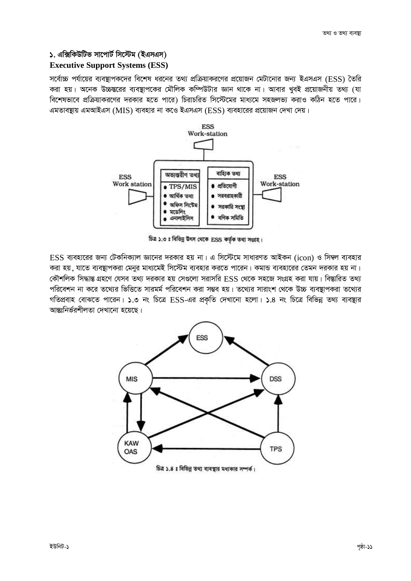#### ১. এক্সিকিউটিভ সাপোর্ট সিস্টেম (ইএসএস)

#### **Executive Support Systems (ESS)**

সর্বোচ্চ পর্যায়ের ব্যবন্থাপকদের বিশেষ ধরনের তথ্য প্রক্রিয়াকরণের প্রয়োজন মেটানোর জন্য ইএসএস (ESS) তৈরি করা হয়। অনেক উচ্চস্তরের ব্যবস্থাপকের মৌলিক কম্পিউটার জ্ঞান থাকে না। আবার খবই প্রয়োজনীয় তথ্য (যা বিশেষভাবে প্রক্রিয়াকরণের দরকার হতে পারে) চিরাচরিত সিস্টেমের মাধ্যমে সহজলভ্য করাও কঠিন হতে পারে। এমতাবন্থায় এমআইএস (MIS) ব্যবহার না কওে ইএসএস (ESS) ব্যবহারের প্রয়োজন দেখা দেয়।



চিত্র ১.৩ ঃ বিভিন্ন উৎস থেকে ESS কর্তৃক তথ্য সংগ্রহ।

 $ESS$  ব্যবহারের জন্য টেকনিক্যাল জ্ঞানের দরকার হয় না। এ সিস্টেমে সাধারণত আইকন (icon) ও সিম্বল ব্যবহার করা হয়, যাতে ব্যবস্থাপকরা মেনুর মাধ্যমেই সিস্টেম ব্যবহার করতে পারেন। কমান্ড ব্যবহারের তেমন দরকার হয় না। কৌশলিক সিদ্ধান্ত গ্রহণে যেসব তথ্য দরকার হয় সেগুলো সরাসরি ESS থেকে সহজে সংগ্রহ করা যায়। বিশ্বারিত তথ্য পরিবেশন না করে তথ্যের ভিত্তিতে সারমর্ম পরিবেশন করা সম্ভব হয়। তথ্যের সারাংশ থেকে উচ্চ ব্যবস্থাপকরা তথ্যের গতিপ্রবাহ বোঝতে পারেন। ১.৩ নং চিত্রে ESS-এর প্রকৃতি দেখানো হলো। ১.৪ নং চিত্রে বিভিন্ন তথ্য ব্যবস্থার আন্তঃনিৰ্ভৱশীলতা দেখানো হয়েছে।

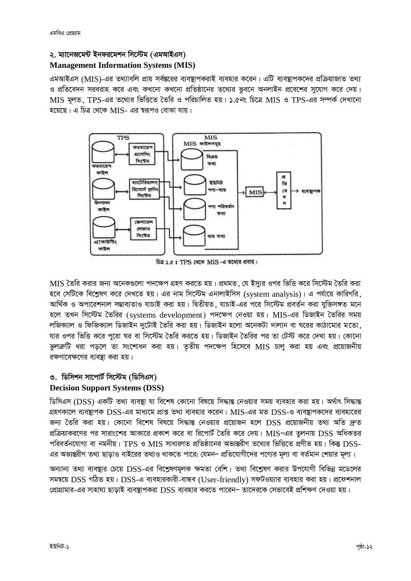#### ২. ম্যানেজমেন্ট ইনফরমেশন সিস্টেম (এমআইএস)

#### **Management Information Systems (MIS)**

এমআইএস (MIS)-এর তথ্যাবলি প্রায় সর্বস্তরের ব্যবস্থাপকরাই ব্যবহার করেন। এটি ব্যবস্থাপকদের প্রক্রিয়াজাত তথ্য ও প্রতিবেদন সরবরাহ করে এবং কখনো কখনো প্রতিষ্ঠানের তথ্যের ভবনে অনলাইন প্রবেশের সযোগ করে দেয়। MIS মলত, TPS-এর তথ্যের ভিত্তিতে তৈরি ও পরিচালিত হয়। ১.৫নং চিত্রে MIS ও TPS-এর সম্পর্ক দেখানো হয়েছে। এ চিত্র থেকে MIS- এর ম্বরূপও বোঝা যায়।



চিত্র ১.৫ ঃ TPS থেকে MIS-এ তথ্যের প্রবাহ।

MIS তৈরি করার জন্য অনেকগুলো পদক্ষেপ গ্রহণ করতে হয়। প্রথমত, যে ইস্যর ওপর ভিত্তি করে সিস্টেম তৈরি করা হবে সেটিকে বিশ্লেষণ করে দেখতে হয়। এর নাম সিস্টেম এনালাইসিস (system analysis)। এ পর্যায়ে কারিগরি, আৰ্থিক ও অপারেশনাল সম্ভাব্যতাও যাচাই করা হয়। দ্বিতীয়ত, যাচাই-এর পরে সিস্টেম প্রবর্তন করা যুক্তিসঙ্গত মনে হলে তখন সিস্টেম তৈরির (systems development) পদক্ষেপ নেওয়া হয়। MIS-এর ডিজাইন তৈরির সময় লজিক্যাল ও ফিজিক্যাল ডিজাইন দুটোই তৈরি করা হয়। ডিজাইন হলো অনেকটা দালান বা ঘরের কাঠামোর মতো, যার ওপর ভিত্তি করে পুরো ঘর বা সিস্টেম তৈরি করতে হয়। ডিজাইন তৈরির পর তা টেস্ট করে দেখা হয়। কোনো ভূলক্রটি ধরা পড়লে তা সংশোধন করা হয়। তৃতীয় পদক্ষেপ হিসেবে MIS চালু করা হয় এবং প্রয়োজনীয় রক্ষণাবেক্ষণের ব্যবস্থা করা হয়।

#### ৩. ডিসিশন সাপোর্ট সিস্টেম (ডিসিএস)

#### **Decision Support Systems (DSS)**

ডিসিএস (DSS) একটি তথ্য ব্যবস্থা যা বিশেষ কোনো বিষয়ে সিদ্ধান্ত নেওয়ার সময় ব্যবহার করা হয়। অর্থাৎ সিদ্ধান্ত গ্রহণকালে ব্যবস্থাপক DSS-এর মাধ্যমে প্রাপ্ত তথ্য ব্যবহার করেন। MIS-এর মত DSS-ও ব্যবস্থাপকদের ব্যবহারের জন্য তৈরি করা হয়। কোনো বিশেষ বিষয়ে সিদ্ধান্ত নেওয়ার প্রয়োজন হলে DSS প্রয়োজনীয় তথ্য অতি দ্রুত প্রক্রিয়াকরণের পর সারাংশের আকারে প্রকাশ করে বা রিপোর্ট তৈরি করে দেয়। MIS-এর তুলনায় DSS অধিকতর পরিবর্তনযোগ্য বা নমনীয়। TPS ও MIS সাধারণত প্রতিষ্ঠানের অভ্যন্তরীণ তথ্যের ভিত্তিতে প্রণীত হয়। কিন্তু DSS-এর অভ্যন্তরীণ তথ্য ছাড়াও বাইরের তথ্যও থাকতে পারে; যেমন– প্রতিযোগীদের পণ্যের মূল্য বা বর্তমান শেয়ার মূল্য।

অন্যান্য তথ্য ব্যবস্থার চেয়ে DSS-এর বিশ্লেষণমূলক ক্ষমতা বেশি। তথ্য বিশ্লেষণ করার উপযোগী বিভিন্ন মডেলের সমন্বয়ে DSS গঠিত হয়। DSS-এ ব্যবহারকারী-বান্ধব (User-friendly) সফটওয়্যার ব্যবহার করা হয়। প্রফেশনাল প্রোগ্রামার-এর সাহায্য ছাড়াই ব্যবস্থাপকরা DSS ব্যবহার করতে পারেন– তাদেরকে সেভাবেই প্রশিক্ষণ দেওয়া হয়।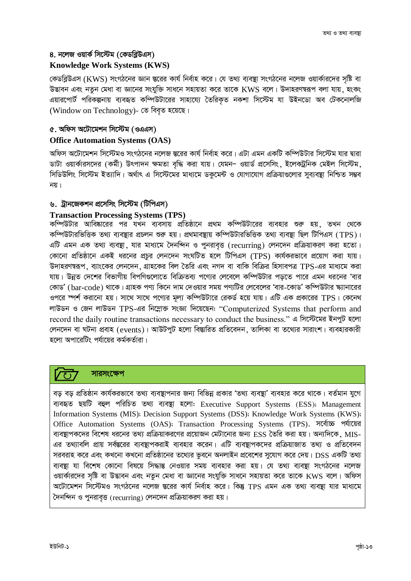#### ৪. নলেজ ওয়ার্ক সিস্টেম (কেডব্রিউএস)

#### **Knowledge Work Systems (KWS)**

কেডব্লিউএস (KWS) সংগঠনের জ্ঞান স্তরের কার্য নির্বাহ করে। যে তথ্য ব্যবস্থা সংগঠনের নলেজ ওয়ার্কারদের সৃষ্টি বা .<br>উদ্ভাবন এবং নতন মেধা বা জ্ঞানের সংযক্তি সাধনে সহায়তা করে তাকে KWS বলে। উদাহরণম্বরূপ বলা যায়, হংকং এয়ারপোর্ট পরিকল্পনায় ব্যবহৃত কম্পিউটারের সাহায্যে তৈরিকৃত নকশা সিস্টেম যা উইনডো অব টেকনোলজি (Window on Technology)- তে বিবৃত হয়েছে।

#### ৫. অফিস অটোমেশন সিস্টেম (ওএএস)

#### **Office Automation Systems (OAS)**

অফিস অটোমেশন সিস্টেমও সংগঠনের নলেজ স্তরের কার্য নির্বাহ করে। এটা এমন একটি কম্পিউটার সিস্টেম যার দ্বারা ডাটা ওয়ার্কারসদের (কর্মী) উৎপাদন ক্ষমতা বদ্ধি করা যায়। যেমন- ওয়ার্ড প্রসেসিং, ইলেকট্রনিক মেইল সিস্টেম, সিডিউলিং সিস্টেম ইত্যাদি। অর্থাৎ এ সিস্টেমের মাধ্যমে ডকমেন্ট ও যোগাযোগ প্রক্রিয়াগুলোর সব্যবষ্ঠা নিশ্চিত সম্ভব নয়।

#### ৬. ট্রানজেকশন প্রসেসিং সিস্টেম (টিপিএস)

#### **Transaction Processing Systems (TPS)**

কম্পিউটার আবিষ্কারের পর যখন ব্যবসায় প্রতিষ্ঠানে প্রথম কম্পিউটারের ব্যবহার শুরু হয় তখন থেকে কম্পিউটারভিত্তিক তথ্য ব্যবস্থার প্রচলন শুরু হয়। প্রথমাবস্থায় কম্পিউটারভিত্তিক তথ্য ব্যবস্থা ছিল টিপিএস (TPS)। এটি এমন এক তথ্য ব্যবস্থা, যার মাধ্যমে দৈনন্দিন ও পুনরাবৃত্ত (recurring) লেনদেন প্রক্রিয়াকরণ করা হতো। কোনো প্রতিষ্ঠানে একই ধরনের প্রচর লেনদেন সংঘটিত হলে টিপিএস (TPS) কার্যকরভাবে প্রয়োগ করা যায়। উদাহরণম্বরূপ, ব্যাংকের লেনদেন, গ্রাহকের বিল তৈরি এবং নগদ বা বাকি বিক্রির হিসাবপত্র TPS-এর মাধ্যমে করা যায়। উন্নত দেশের বিভাগীয় বিপণিগুলোতে বিক্রিতব্য পণ্যের লেবেলে কম্পিউটার পডতে পারে এমন ধরনের 'বার কোড' (bar-code) থাকে। গ্রাহক পণ্য কিনে দাম দেওয়ার সময় পণ্যটির লেবেলের 'বার-কোড' কম্পিউটার স্ক্যানারের ওপরে স্পর্শ করানো হয়। সাথে সাথে পণ্যের মূল্য কম্পিউটারে রেকর্ড হয়ে যায়। এটি এক প্রকারের TPS। কেনেথ লাউডন ও জেন লাউডন TPS-এর নিম্নোক্ত সংজ্ঞা দিয়েছেন: "Computerized Systems that perform and record the daily routine transactions necessary to conduct the business." এ সিস্টেমের ইনপুট হলো লেনদেন বা ঘটনা প্রবাহ (events)। আউটপুট হলো বিম্ভারিত প্রতিবেদন, তালিকা বা তথ্যের সারাংশ। ব্যবহারকারী হলো অপারেটিং পর্যায়ের কর্মকর্তারা।

#### সারসংক্ষেপ

বড় বড় প্রতিষ্ঠান কার্যকরভাবে তথ্য ব্যবন্থাপনার জন্য বিভিন্ন প্রকার 'তথ্য ব্যবস্থা' ব্যবহার করে থাকে। বর্তমান যুগে ব্যবহৃত ছয়টি বহুল পরিচিত তথ্য ব্যবস্থা হলো: Executive Support Systems (ESS); Management Information Systems (MIS); Decision Support Systems (DSS); Knowledge Work Systems (KWS); Office Automation Systems (OAS); Transaction Processing Systems (TPS). সর্বোচ্চ পর্যায়ের ব্যবস্থাপকদের বিশেষ ধরনের তথ্য প্রক্রিয়াকরণের প্রয়োজন মেটানোর জন্য ESS তৈরি করা হয়। অন্যদিকে, MIS-এর তথ্যাবলি প্রায় সর্বস্তরের ব্যবস্থাপকরাই ব্যবহার করেন। এটি ব্যবস্থাপকদের প্রক্রিয়াজাত তথ্য ও প্রতিবেদন সরবরাহ করে এবং কখনো কখনো প্রতিষ্ঠানের তথ্যের ভূবনে অনলাইন প্রবেশের সুযোগ করে দেয়। DSS একটি তথ্য ব্যবস্থা যা বিশেষ কোনো বিষয়ে সিদ্ধান্ত নেওয়ার সময় ব্যবহার করা হয়। যে তথ্য ব্যবস্থা সংগঠনের নলেজ ওয়ার্কারদের সৃষ্টি বা উদ্ভাবন এবং নতুন মেধা বা জ্ঞানের সংযুক্তি সাধনে সহায়তা করে তাকে KWS বলে। অফিস অটোমেশন সিস্টেমও সংগঠনের নলেজ স্তরের কার্য নির্বাহ করে। কিন্তু TPS এমন এক তথ্য ব্যবস্থা যার মাধ্যমে দৈনন্দিন ও পুনরাবৃত্ত (recurring) লেনদেন প্রক্রিয়াকরণ করা হয়।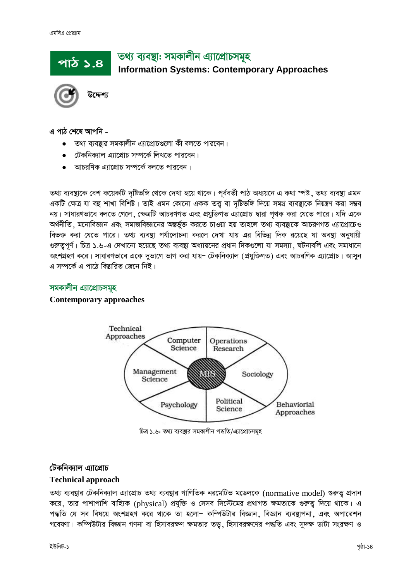# তথ্য ব্যবস্থা: সমকালীন এ্যাপ্রোচসমূহ **Information Systems: Contemporary Approaches**



পাঠ ১.৪

#### এ পাঠ শেষে আপনি -

- তথ্য ব্যবস্তার সমকালীন এ্যাপ্রোচগুলো কী বলতে পারবেন।
- টেকনিক্যাল এ্যাপ্রোচ সম্পর্কে লিখতে পারবেন।
- $\bullet$  আচরণিক এ্যাপ্রোচ সম্পর্কে বলতে পারবেন।

তথ্য ব্যবস্থাকে বেশ কয়েকটি দৃষ্টিভঙ্গি থেকে দেখা হয়ে থাকে। পূর্ববর্তী পাঠ অধ্যয়নে এ কথা স্পষ্ট , তথ্য ব্যবস্থা এমন একটি ক্ষেত্র যা বহু শাখা বিশিষ্ট। তাই এমন কোনো একক তত্ত বা দষ্টিভঙ্গি দিয়ে সমগ্র ব্যবস্থাকে নিয়ন্ত্রণ করা সম্ভব নয়। সাধারণভাবে বলতে গেলে, ক্ষেত্রটি আচরণগত এবং প্রযুক্তিগত এ্যাপ্রোচ দ্বারা পথক করা যেতে পারে। যদি একে অর্থনীতি, মনোবিজ্ঞান এবং সমাজবিজ্ঞানের অন্তর্ভুক্ত করতে চাওয়া হয় তাহলে তথ্য ব্যবস্থাকে আচরণগত এ্যাপ্রোচেও বিভক্ত করা যেতে পারে। তথ্য ব্যবস্থা পর্যালোচনা করলে দেখা যায় এর বিভিন্ন দিক রয়েছে যা অবস্থা অনুযায়ী গুরুত্বপূর্ণ। চিত্র ১.৬-এ দেখানো হয়েছে তথ্য ব্যবস্থা অধ্যায়নের প্রধান দিকগুলো যা সমস্যা. ঘটনাবলি এবং সমাধানে অংশগ্রহণ করে। সাধারণভাবে একে দুভাগে ভাগ করা যায়– টেকনিক্যাল (প্রযুক্তিগত) এবং আচরণিক এ্যাপ্রোচ। আসুন এ সম্পর্কে এ পাঠে বিস্তারিত জেনে নিই।

## সমকালীন এ্যাপ্রোচসমূহ

#### **Contemporary approaches**



চিত্র ১.৬: তথ্য ব্যবস্থার সমকালীন পদ্ধতি/এ্যাপ্রোচসমূহ

# টেকনিক্যাল এ্যাপ্রোচ

#### **Technical approach**

তথ্য ব্যবস্থার টেকনিক্যাল এ্যাপ্রোচ তথ্য ব্যবস্থার গাণিতিক নরমেটিভ মডেলকে (normative model) গুরুত্ব প্রদান করে, তার পাশাপাশি বাহ্যিক (physical) প্রযুক্তি ও সেসব সিস্টেমের প্রথাগত ক্ষমতাকে গুরুতু দিয়ে থাকে। এ পদ্ধতি যে সব বিষয়ে অংশগ্রহণ করে থাকে তা হলো- কম্পিউটার বিজ্ঞান, বিজ্ঞান ব্যবস্থাপনা, এবং অপারেশন গবেষণা। কম্পিউটার বিজ্ঞান গণনা বা হিসাবরক্ষণ ক্ষমতার তত্ত, হিসাবরক্ষণের পদ্ধতি এবং সুদক্ষ ডাটা সংরক্ষণ ও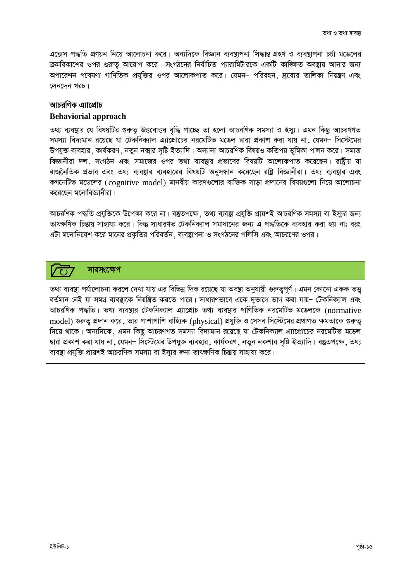এক্সেস পদ্ধতি প্রণয়ন নিয়ে আলোচনা করে। অন্যদিকে বিজ্ঞান ব্যবস্থাপনা সিদ্ধান্ত গ্রহণ ও ব্যবস্থাপনা চর্চা মডেলের ক্রমবিকাশের ওপর গুরুত্ব আরোপ করে। সংগঠনের নির্বাচিত প্যারামিটারকে একটি কাজ্ঞিত অবষ্থায় আনার জন্য অপারেশন গবেষণা গাণিতিক প্রযক্তির ওপর আলোকপাত করে। যেমন– পরিবহন, দব্যের তালিকা নিয়ন্ত্রণ এবং লেনদেন খরচ।

#### আচরণিক এ্যাপ্রোচ

#### **Behaviorial approach**

তথ্য ব্যবস্থার যে বিষয়টির গুরুতু উত্তরোত্তর বৃদ্ধি পাচ্ছে তা হলো আচরণিক সমস্যা ও ইস্যু। এমন কিছু আচরণগত সমস্যা বিদ্যমান রয়েছে যা টেকনিক্যাল এ্যাপ্রোচের নরমেটিভ মডেল দ্বারা প্রকাশ করা যায় না, যেমন– সিস্টেমের উপযুক্ত ব্যবহার, কার্যকরণ, নতুন নক্সার সৃষ্টি ইত্যাদি। অন্যান্য আচরণিক বিষয়ও কতিপয় ভূমিকা পালন করে। সমাজ বিজ্ঞানীরা দল, সংগঠন এবং সমাজের ওপর তথ্য ব্যবস্থার প্রভাবের বিষয়টি আলোকপাত করেছেন। রাষ্ট্রীয় যা রাজনৈতিক প্রভাব এবং তথ্য ব্যবস্থার ব্যবহারের বিষয়টি অনুসন্ধান করেছেন রাষ্ট্র বিজ্ঞানীরা। তথ্য ব্যবস্থার এবং কগনেটিভ মডেলের (cognitive model) মানবীয় কারণগুলোর ব্যক্তিক সাড়া প্রদানের বিষয়গুলো নিয়ে আলোচনা করেছেন মনোবিজ্ঞানীরা।

আচরণিক পদ্ধতি প্রযুক্তিকে উপেক্ষা করে না। বস্তুতপক্ষে, তথ্য ব্যবস্থা প্রযুক্তি প্রায়শই আচরণিক সমস্যা বা ইস্যুর জন্য তাৎক্ষণিক চিন্তায় সাহায্য করে। কিন্তু সাধারণত টেকনিক্যাল সমাধানের জন্য এ পদ্ধতিকে ব্যবহার করা হয় না: বরং এটা মনোনিবেশ করে মানের প্রকৃতির পরিবর্তন, ব্যবস্থাপনা ও সংগঠনের পলিসি এবং আচরণের ওপর।

#### সারসংক্ষেপ

তথ্য ব্যবস্থা পর্যালোচনা করলে দেখা যায় এর বিভিন্ন দিক রয়েছে যা অবস্থা অনুযায়ী গুরুতুপূর্ণ। এমন কোনো একক তত্ত বর্তমান নেই যা সমগ্র ব্যবষ্ঠাকে নিয়ন্ত্রিত করতে পারে। সাধারণভাবে একে দভাগে ভাগ করা যায়– টেকনিক্যাল এবং আচরণিক পদ্ধতি। তথ্য ব্যবস্থার টেকনিক্যাল এ্যাপ্রোচ তথ্য ব্যবস্থার গাণিতিক নরমেটিভ মডেলকে (normative model) গুরুতু প্রদান করে, তার পাশাপাশি বাহ্যিক (physical) প্রযুক্তি ও সেসব সিস্টেমের প্রথাগত ক্ষমতাকে গুরুতু দিয়ে থাকে। অন্যদিকে, এমন কিছু আচরণগত সমস্যা বিদ্যমান রয়েছে যা টেকনিক্যাল এ্যাপ্রোচের নরমেটিভ মডেল দ্বারা প্রকাশ করা যায় না , যেমন– সিস্টেমের উপযুক্ত ব্যবহার , কার্যকরণ , নতুন নকশার সৃষ্টি ইত্যাদি। বস্তুতপক্ষে , তথ্য ব্যবস্থা প্রযুক্তি প্রায়শই আচরণিক সমস্যা বা ইস্যুর জন্য তাৎক্ষণিক চিন্তায় সাহায্য করে।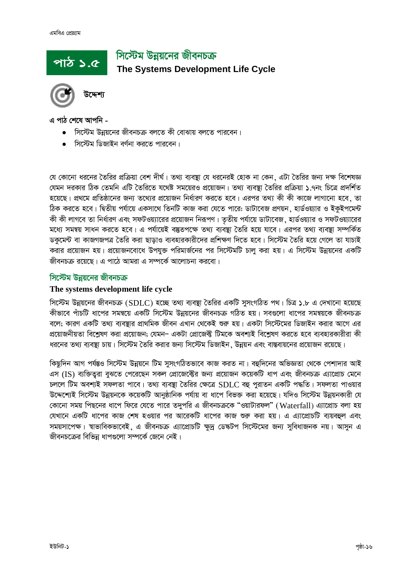# সিস্টেম উন্নয়নের জীবনচক্র The Systems Development Life Cycle



এ পাঠ শেষে আপনি -

পাঠ ১.৫

- সিস্টেম উন্নয়নের জীবনচক্র বলতে কী বোঝায় বলতে পারবেন।
- সিস্টেম ডিজাইন বর্ণনা করতে পারবেন।

যে কোনো ধরনের তৈরির প্রক্রিয়া বেশ দীর্ঘ। তথ্য ব্যবষ্থা যে ধরনেরই হোক না কেন. এটা তৈরির জন্য দক্ষ বিশেষজ্ঞ য়েমন দরকার ঠিক তেমনি এটি তৈরিতে যথেষ্ট সময়েরও প্রয়োজন। তথ্য ব্যবষ্টা তৈরির প্রক্রিয়া ১.৭নং চিত্রে প্রদর্শিত হয়েছে। প্রথমে প্রতিষ্ঠানের জন্য তথ্যের প্রয়োজন নির্ধারণ করতে হবে। এরপর তথ্য কী কী কাজে লাগানো হবে, তা ঠিক করতে হবে। দ্বিতীয় পর্যায়ে একসাথে তিনটি কাজ করা যেতে পারে: ডাটাবেজ প্রণয়ন, হার্ডওয়্যার ও ইকইপমেন্ট কী কী লাগবে তা নির্ধারণ এবং সফটওয়্যারের প্রয়োজন নিরূপণ। তৃতীয় পর্যায়ে ডাটাবেজ, হার্ডওয়্যার ও সফটওয়্যারের মধ্যে সমন্বয় সাধন করতে হবে। এ পর্যায়েই বস্তুতপক্ষে তথ্য ব্যবস্থা তৈরি হয়ে যাবে। এরপর তথ্য ব্যবস্থা সম্পর্কিত ডকমেন্ট বা কাজগজপত্র তৈরি করা ছাডাও ব্যবহারকারীদের প্রশিক্ষণ দিতে হবে। সিস্টেম তৈরি হয়ে গেলে তা যাচাই করার প্রয়োজন হয়। প্রয়োজনবোধে উপযুক্ত পরিমার্জনের পর সিস্টেমটি চালু করা হয়। এ সিস্টেম উন্নয়নের একটি জীবনচক্র রয়েছে। এ পাঠে আমরা এ সম্পর্কে আলোচনা করবো।

#### সিস্টেম উন্নয়নের জীবনচক্র

#### The systems development life cycle

সিস্টেম উন্নয়নের জীবনচক্র (SDLC) হচ্ছে তথ্য ব্যবস্থা তৈরির একটি সুসংগঠিত পথ। চিত্র ১.৮ এ দেখানো হয়েছে কীভাবে পাঁচটি ধাপের সমন্বয়ে একটি সিস্টেম উন্নয়নের জীবনচক্র গঠিত হয়। সবগুলো ধাপের সমন্বয়কে জীবনচক্র বলে: কারণ একটি তথ্য ব্যবষ্টার প্রাথমিক জীবন এখান থেকেই শুরু হয়। একটা সিস্টেমের ডিজাইন করার আগে এর প্রয়োজনীয়তা বিশ্লেষণ করা প্রয়োজন; যেমন– একটা প্রোজেক্ট টিমকে অবশ্যই বিশ্লেষণ করতে হবে ব্যবহারকারীরা কী ধরনের তথ্য ব্যবস্থা চায়। সিস্টেম তৈরি করার জন্য সিস্টেম ডিজাইন, উন্নয়ন এবং বাস্তবায়নের প্রয়োজন রয়েছে।

কিছুদিন আগ পর্যন্তও সিস্টেম উন্নয়নে টিম সুসংগঠিতভাবে কাজ করত না। বহুদিনের অভিজ্ঞতা থেকে পেশাদার আই এস (IS) ব্যক্তিত্বরা বুঝতে পেরেছেন সকল প্রোজেক্টের জন্য প্রয়োজন কয়েকটি ধাপ এবং জীবনচক্র এ্যাপ্রোচ মেনে চললে টিম অবশ্যই সফলতা পাবে। তথ্য ব্যবস্থা তৈরির ক্ষেত্রে SDLC বহু পুরাতন একটি পদ্ধতি। সফলতা পাওয়ার উদ্দেশ্যেই সিস্টেম উন্নয়নকে কয়েকটি আনুষ্ঠানিক পর্যায় বা ধাপে বিভক্ত করা হয়েছে। যদিও সিস্টেম উন্নয়নকারী যে কোনো সময় পিছনের ধাপে ফিরে যেতে পারে তদুপরি এ জীবনচক্রকে "ওয়াটারফল" (Waterfall) এ্যাপ্রোচ বলা হয় যেখানে একটি ধাপের কাজ শেষ হওয়ার পর আরেকটি ধাপের কাজ শুরু করা হয়। এ এ্যাপ্রোচটি ব্যয়বহুল এবং সময়সাপেক্ষ। শ্বাভাবিকভাবেই, এ জীবনচক্র এ্যাপ্রোচটি ক্ষুদ্র ডেঙ্কটপ সিস্টেমের জন্য সুবিধাজনক নয়। আসুন এ জীবনচক্রের বিভিন্ন ধাপগুলো সম্পর্কে জেনে নেই।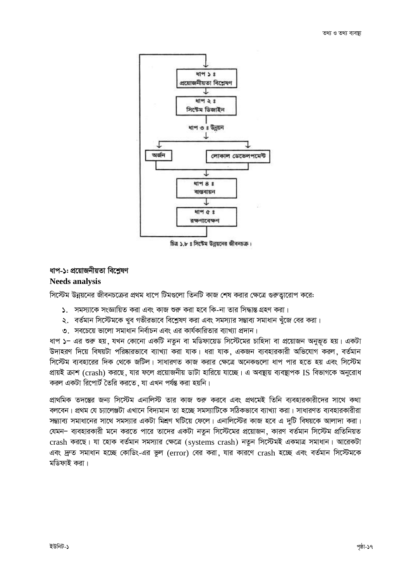



#### ধাপ-১: প্রয়োজনীয়তা বিশ্রেষণ **Needs analysis**

সিস্টেম উন্নয়নের জীবনচক্রের প্রথম ধাপে টিমগুলো তিনটি কাজ শেষ করার ক্ষেত্রে গুরুত্বারোপ করে:

- ১. সমস্যাকে সংজ্ঞায়িত করা এবং কাজ শুরু করা হবে কি-না তার সিদ্ধান্ত গ্রহণ করা।
- ২. বর্তমান সিস্টেমকে খুব গভীরভাবে বিশ্লেষণ করা এবং সমস্যার সম্ভাব্য সমাধান খুঁজে বের করা।
- ৩. সবচেয়ে ভালো সমাধান নির্বাচন এবং এর কার্যকারিতার ব্যাখ্যা প্রদান।

ধাপ ১– এর শুরু হয়, যখন কোনো একটি নতুন বা মডিফায়েড সিস্টেমের চাহিদা বা প্রয়োজন অনুভূত হয়। একটা উদাহরণ দিয়ে বিষয়টা পরিষ্কারভাবে ব্যাখ্যা করা যাক। ধরা যাক, একজন ব্যবহারকারী অভিযোগ করল, বর্তমান সিস্টেম ব্যবহারের দিক থেকে জটিল। সাধারণত কাজ করার ক্ষেত্রে অনেকগুলো ধাপ পার হতে হয় এবং সিস্টেম প্রায়ই ক্রাশ (crash) করছে, যার ফলে প্রয়োজনীয় ডাটা হারিয়ে যাচ্ছে। এ অবন্থায় ব্যবস্থাপক IS বিভাগকে অনুরোধ করল একটা রিপোর্ট তৈরি করতে, যা এখন পর্যন্ত করা হয়নি।

প্রাথমিক তদন্তের জন্য সিস্টেম এনালিস্ট তার কাজ শুরু করবে এবং প্রথমেই তিনি ব্যবহারকারীদের সাথে কথা বলবেন। প্রথম যে চ্যালেঞ্জটা এখানে বিদ্যমান তা হচ্ছে সমস্যাটিকে সঠিকভাবে ব্যাখ্যা করা। সাধারণত ব্যবহারকারীরা সম্ভ্যাব্য সমাধানের সাথে সমস্যার একটা মিশ্রণ ঘটিয়ে ফেলে। এনালিস্টের কাজ হবে এ দুটি বিষয়কে আলাদা করা। যেমন- ব্যবহারকারী মনে করতে পারে তাদের একটা নতুন সিস্টেমের প্রয়োজন, কারণ বর্তমান সিস্টেম প্রতিনিয়ত crash করছে। যা হোক বর্তমান সমস্যার ক্ষেত্রে (systems crash) নতুন সিস্টেমই একমাত্র সমাধান। আরেকটা এবং দ্রুত সমাধান হচ্ছে কোডিং-এর ভুল (error) বের করা, যার কারণে crash হচ্ছে এবং বর্তমান সিস্টেমকে মডিফাই করা।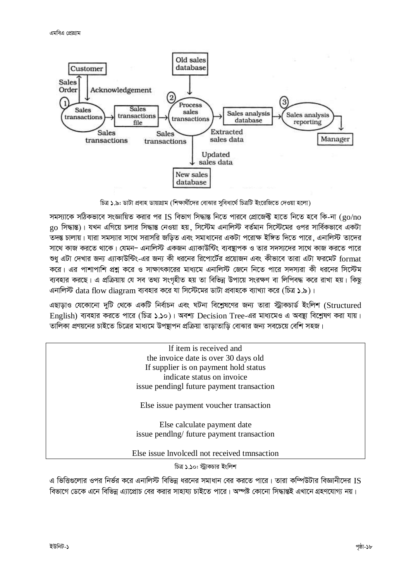

চিত্র ১.৯: ডাটা প্রবাহ ডায়াগ্রাম (শিক্ষার্থীদের বোঝার সুবিধার্থে চিত্রটি ইংরেজিতে দেওয়া হলো)

সমস্যাকে সঠিকভাবে সংজ্ঞায়িত করার পর IS বিভাগ সিদ্ধান্ত নিতে পারবে প্রোজেক্ট হাতে নিতে হবে কি-না ( ${\rm go/no}$ go সিদ্ধান্ত)। যখন এগিয়ে চলার সিদ্ধান্ত নেওয়া হয়, সিস্টেম এনালিস্ট বর্তমান সিস্টেমের ওপর সার্বিকভাবে একটা তদন্ত চালায়। যারা সমস্যার সাথে সরাসরি জড়িত এবং সমাধানের একটা পরোক্ষ ইঙ্গিত দিতে পারে, এনালিস্ট তাদের সাথে কাজ করতে থাকে। যেমন– এনালিস্ট একজন এ্যাকাউন্টিং ব্যবস্থাপক ও তার সদস্যদের সাথে কাজ করতে পারে শুধু এটা দেখার জন্য এ্যাকাউন্টিং-এর জন্য কী ধরনের রিপোর্টের প্রয়োজন এবং কীভাবে তারা এটা ফরমেট format করে। এর পাশাপাশি প্রশ্ন করে ও সাক্ষাৎকারের মাধ্যমে এনালিস্ট জেনে নিতে পারে সদস্যরা কী ধরনের সিস্টেম ব্যবহার করছে। এ প্রক্রিয়ায় যে সব তথ্য সংগৃহীত হয় তা বিভিন্ন উপায়ে সংরক্ষণ বা লিপিবদ্ধ করে রাখা হয়। কিছু এনালিস্ট data flow diagram ব্যবহার করে যা সিস্টেমের ডাটা প্রবাহকে ব্যাখ্যা করে (চিত্র ১.৯)।

এছাড়াও যেকোনো দুটি থেকে একটি নির্বাচন এবং ঘটনা বিশ্লেষণের জন্য তারা স্ট্রাকচার্ড ইংলিশ (Structured English) ব্যবহার করতে পারে (চিত্র ১.১০)। অবশ্য Decision Tree-এর মাধ্যমেও এ অবষ্ঠা বিশ্লেষণ করা যায়। তালিকা প্রণয়নের চাইতে চিত্রের মাধ্যমে উপয়াপন প্রক্রিয়া তাডাতাডি বোঝার জন্য সবচেয়ে বেশি সহজ।

If item is received and the invoice date is over 30 days old If supplier is on payment hold status indicate status on invoice issue pendingl future payment transaction Else issue payment voucher transaction Else calculate payment date issue pendlng/ future payment transaction Else issue lnvolcedl not received tmnsaction

চিত্র ১.১০: স্টাকচার ইংলিশ

এ ভিত্তিগুলোর ওপর নির্ভর করে এনালিস্ট বিভিন্ন ধরনের সমাধান বের করতে পারে। তারা কম্পিউটার বিজ্ঞানীদের IS বিভাগে ডেকে এনে বিভিন্ন এ্যাপ্রোচ বের করার সাহায্য চাইতে পারে। অস্পষ্ট কোনো সিদ্ধান্তই এখানে গ্রহণযোগ্য নয়।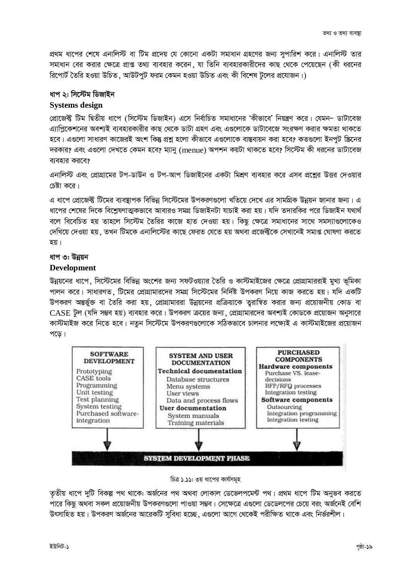প্রথম ধাপের শেষে এনালিস্ট বা টিম প্রদেয় যে কোনো একটা সমাধান গ্রহণের জন্য সুপারিশ করে। এনালিস্ট তার সমাধান বের করার ক্ষেত্রে প্রাপ্ত তথ্য ব্যবহার করেন, যা তিনি ব্যবহারকারীদের কাছ থেকে পেয়েছেন (কী ধরনের রিপোর্ট তৈরি হওয়া উচিত, আউটপট ফরম কেমন হওয়া উচিত এবং কী বিশেষ টলের প্রযোজন।)

#### ধাপ ২: সিস্টেম ডিজাইন

#### **Systems design**

প্রোজেক্ট টিম দ্বিতীয় ধাপে (সিস্টেম ডিজাইন) এসে নির্বাচিত সমাধানের 'কীভাবে' নিয়ন্ত্রণ করে। যেমন– ডাটাবেজ এ্যাপ্রিকেশনের অবশ্যই ব্যবহারকারীর কাছ থেকে ডাটা গ্রহণ এবং এগুলোকে ডাটাবেজে সংরক্ষণ করার ক্ষমতা থাকতে হবে। এগুলো সাধারণ কাজেরই অংশ কিন্তু প্রশ্ন হলো কীভাবে এগুলোকে বাস্তবায়ন করা হবে? কতগুলো ইনপুট স্ক্রিনের দরকার? এবং এগুলো দেখতে কেমন হবে? ম্যানু (menue) অপশন কয়টা থাকতে হবে? সিস্টেম কী ধরনের ডাটাবেজ ব্যবহার করবে?

এনালিস্ট এবং প্রোগ্রামের টপ-ডাউন ও টপ-আপ ডিজাইনের একটা মিশ্রণ ব্যবহার করে এসব প্রশ্নের উত্তর দেওয়ার চেষ্টা করে।

এ ধাপে প্রোজেক্ট টিমের ব্যবস্থাপক বিভিন্ন সিস্টেমের উপকরণগুলো খতিয়ে দেখে এর সামগ্রিক উন্নয়ন জানার জন্য। এ ধাপের শেষের দিকে বিশ্লেষণাত্মকভাবে আবারও সমগ্র ডিজাইনটা যাচাই করা হয়। যদি তদারকির পরে ডিজাইন যথার্থ বলে বিবেচিত হয় তাহলে সিস্টেম তৈরির কাজে হাত দেওয়া হয়। কিছু ক্ষেত্রে সমাধানের সাথে সমস্যাগুলোকেও দেখিয়ে দেওয়া হয়, তখন টিমকে এনালিস্টের কাছে ফেরত যেতে হয় অথবা প্রজেক্টকে সেখানেই সমাপ্ত ঘোষণা করতে হয়।

#### ধাপ ৩: উন্নয়ন

#### **Development**

উন্নয়নের ধাপে, সিস্টেমের বিভিন্ন অংশের জন্য সফটওয়্যার তৈরি ও কাস্টমাইজের ক্ষেত্রে প্রোগ্রামাররাই মুখ্য ভূমিকা পালন করে। সাধারণত, টিমের প্রোগ্রামারদের সমগ্র সিস্টেমের নির্দিষ্ট উপকরণ নিয়ে কাজ করতে হয়। যদি একটি উপকরণ অন্তর্ভুক্ত বা তৈরি করা হয়, প্রোগ্রামাররা উন্নয়নের প্রক্রিয়াকে তুরান্বিত করার জন্য প্রয়োজনীয় কোড বা CASE টুল (যদি সম্ভব হয়) ব্যবহার করে। উপকরণ ক্রয়ের জন্য, প্রোগ্রামারদের অবশ্যই কোডকে প্রয়োজন অনুসারে কাস্টমাইজ করে নিতে হবে। নতন সিস্টেমে উপকরণগুলোকে সঠিকভাবে চালনার লক্ষ্যেই এ কাস্টমাইজের প্রয়োজন পড়ে।



#### চিত্র ১.১১: ৩য় ধাপের কার্যসমূহ

তৃতীয় ধাপে দুটি বিকল্প পথ থাকে: অর্জনের পথ অথবা লোকাল ডেভেলপমেন্ট পথ। প্রথম ধাপে টিম অনুভব করতে পারে কিছু অথবা সকল প্রয়োজনীয় উপকরণগুলো পাওয়া সম্ভব। সেক্ষেত্রে এগুলো ডেডেলপের চেয়ে বরং অর্জনেই বেশি উৎসাহিত হয়। উপকরণ অর্জনের আরেকটি সুবিধা হচ্ছে, এগুলো আগে থেকেই পরীক্ষিত থাকে এবং নির্ভরশীল।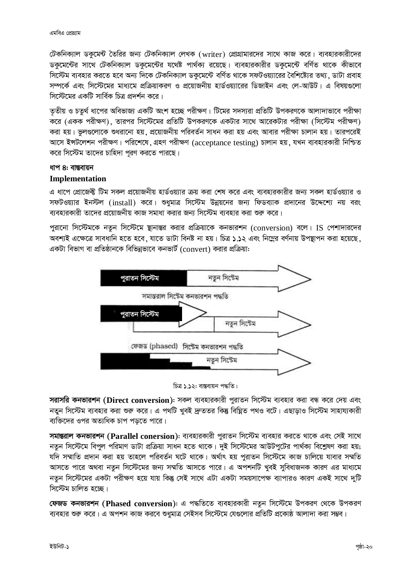টেকনিক্যাল ডকুমেন্ট তৈরির জন্য টেকনিক্যাল লেখক (writer) প্রোগ্রামারদের সাথে কাজ করে। ব্যবহারকারীদের ডকুমেন্টের সাথে টেকনিক্যাল ডকুমেন্টের যথেষ্ট পার্থক্য রয়েছে। ব্যবহারকারীর ডকুমেন্টে বর্ণিত থাকে কীভাবে সিস্টেম ব্যবহার করতে হবে অন্য দিকে টেকনিক্যাল ডকুমেন্টে বর্ণিত থাকে সফটওয়্যারের বৈশিষ্ট্যের তথ্য . ডাটা প্রবাহ সম্পর্কে এবং সিস্টেমের মাধ্যমে প্রক্রিয়াকরণ ও প্রয়োজনীয় হার্ডওয়্যারের ডিজাইন এবং লে-আউট। এ বিষয়গুলো সিস্টেমেব একটি সার্বিক চিত্র প্রদর্শন করে ।

তৃতীয় ও চতুর্থ ধাপের অবিভাজ্য একটি অংশ হচ্ছে পরীক্ষণ। টিমের সদস্যরা প্রতিটি উপকরণকে আলাদাভাবে পরীক্ষা করে (একক পরীক্ষণ), তারপর সিস্টেমের প্রতিটি উপকরণকে একটার সাথে আরেকটার পরীক্ষা (সিস্টেম পরীক্ষণ) করা হয়। ভুলগুলোকে শুধরানো হয়, প্রয়োজনীয় পরিবর্তন সাধন করা হয় এবং আবার পরীক্ষা চালান হয়। তারপরেই আসে ইন্সটলেশন পরীক্ষণ। পরিশেষে, গ্রহণ পরীক্ষণ (acceptance testing) চালান হয়, যখন ব্যবহারকারী নিশ্চিত করে সিস্টেম তাদের চাহিদা পূরণ করতে পারছে।

#### ধাপ 8: বা**ন্ত**বায়ন

#### **Implementation**

এ ধাপে প্রোজেক্ট টিম সকল প্রয়োজনীয় হার্ডওয়্যার ক্রয় করা শেষ করে এবং ব্যবহারকারীর জন্য সকল হার্ডওয়্যার ও সফটওয়্যার ইনস্টল (install) করে। শুধুমাত্র সিস্টেম উন্নয়নের জন্য ফিডব্যাক প্রদানের উদ্দেশ্যে নয় বরং ব্যবহারকারী তাদের প্রয়োজনীয় কাজ সমাধা করার জন্য সিস্টেম ব্যবহার করা শুরু করে।

পুরানো সিস্টেমকে নতুন সিস্টেমে ষ্থানান্তর করার প্রক্রিয়াকে কনভারশন (conversion) বলে। IS পেশাদারদের অবশ্যই এক্ষেত্রে সাবধানি হতে হবে, যাতে ডাটা বিনষ্ট না হয়। চিত্র ১.১২ এবং নিম্নের বর্ণনায় উপস্থাপন করা হয়েছে, একটা বিভাগ বা প্রতিষ্ঠানকে বিভিন্নভাবে কনভার্ট (convert) করার প্রক্রিয়া:



চিত্ৰ ১.১২: বাস্তবায়ন পদ্ধতি।

**সরাসরি কনভারশন (Direct conversion): সকল** ব্যবহারকারী পুরাতন সিস্টেম ব্যবহার করা বন্ধ করে দেয় এবং নতুন সিস্টেম ব্যবহার করা শুরু করে। এ পথটি খুবই দ্রুততর কিন্তু বিঘ্নিত পথও বটে। এছাড়াও সিস্টেম সাহায্যকারী ব্যক্তিদের ওপর অত্যধিক চাপ পড়তে পারে।

**সমান্তরাল কনভারশন (Parallel conersion): ব্যবহারকারী পুরাতন সিস্টেম ব্যবহার করতে থাকে এবং সেই সাথে** নতুন সিস্টেমে বিপুল পরিমাণ ডাটা প্রক্রিয়া সাধন হতে থাকে। দুই সিস্টেমের আউটপুটের পার্থক্য বিশ্লেষণ করা হয়; যদি সম্মাতি প্ৰদান করা হয় তাহলে পরিবর্তন ঘটে থাকে। অর্থাৎ হয় পরাতন সিস্টেমে কাজ চালিয়ে যাবার সম্মতি আসতে পারে অথবা নতুন সিস্টেমের জন্য সম্মতি আসতে পারে। এ অপশনটি খুবই সুবিধাজনক কারণ এর মাধ্যমে নতুন সিস্টেমের একটা পরীক্ষণ হয়ে যায় কিন্তু সেই সাথে এটা একটা সময়সাপেক্ষ ব্যাপারও কারণ একই সাথে দুটি সিস্টেম চালিত *হচে*ছ।

**ফেজড কনভারশন (Phased conversion):** এ পদ্ধতিতে ব্যবহারকারী নতুন সিস্টেমে উপকরণ থেকে উপকরণ ব্যবহার শুরু করে। এ অপশন কাজ করবে শুধুমাত্র সেইসব সিস্টেমে যেগুলোর প্রতিটি প্রকোষ্ঠ আলাদা করা সম্ভব।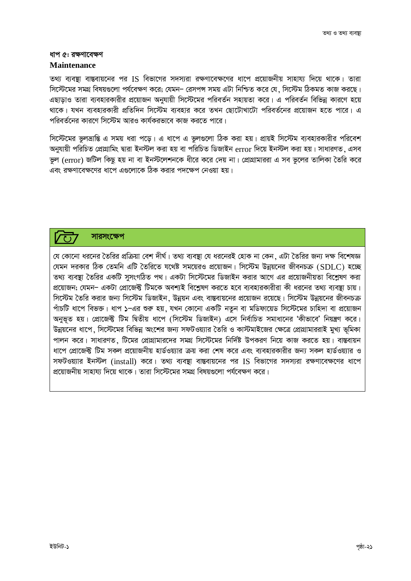#### ধাপ ৫: রক্ষণাবেক্ষণ

#### **Maintenance**

তথ্য ব্যবস্থা বাস্তবায়নের পর IS বিভাগের সদস্যরা রক্ষণাবেক্ষণের ধাপে প্রয়োজনীয় সাহায্য দিয়ে থাকে। তারা সিস্টেমের সমগ্র বিষয়গুলো পর্যবেক্ষণ করে: যেমন– রেসপন্স সময় এটা নিশ্চিত করে যে . সিস্টেম ঠিকমত কাজ করছে। এছাডাও তারা ব্যবহারকারীর প্রয়োজন অনুযায়ী সিস্টেমের পরিবর্তন সহায়তা করে। এ পরিবর্তন বিভিন্ন কারণে হয়ে থাকে। যখন ব্যবহারকারী প্রতিদিন সিস্টেম ব্যবহার করে তখন ছোটোখাটো পরিবর্তনের প্রয়োজন হতে পারে। এ পবিবর্তনেব কাবণে সিস্টেম আবও কার্যকবভাবে কাজ কবতে পাবে।

সিস্টেমের ভুলভ্রান্তি এ সময় ধরা পড়ে। এ ধাপে এ ভুলগুলো ঠিক করা হয়। প্রায়ই সিস্টেম ব্যবহারকারীর পরিবেশ অনুযায়ী পরিচিত প্রোগ্রামিং দ্বারা ইনস্টল করা হয় বা পরিচিত ডিজাইন error দিয়ে ইনস্টল করা হয়। সাধারণত, এসব ভূল (error) জটিল কিছু হয় না বা ইনস্টলেশনকে ধীরে করে দেয় না। প্রোগ্রামাররা এ সব ভূলের তালিকা তৈরি করে এবং রক্ষণাবেক্ষণের ধাপে এগুলোকে ঠিক করার পদক্ষেপ নেওয়া হয়।

#### সাৱসংক্ষেপ  $\overline{(\cdot)}$

যে কোনো ধরনের তৈরির প্রক্রিয়া বেশ দীর্ঘ। তথ্য ব্যবষ্থা যে ধরনেরই হোক না কেন. এটা তৈরির জন্য দক্ষ বিশেষজ্ঞ যেমন দরকার ঠিক তেমনি এটি তৈরিতে যথেষ্ট সময়েরও প্রয়োজন। সিস্টেম উন্নয়নের জীবনচক্র (SDLC) হচ্ছে তথ্য ব্যবস্থা তৈরির একটি সসংগঠিত পথ। একটা সিস্টেমের ডিজাইন করার আগে এর প্রয়োজনীয়তা বিশ্রেষণ করা প্রয়োজন; যেমন– একটা প্রোজেক্ট টিমকে অবশ্যই বিশ্লেষণ করতে হবে ব্যবহারকারীরা কী ধরনের তথ্য ব্যবষ্থা চায়। সিস্টেম তৈরি করার জন্য সিস্টেম ডিজাইন, উন্নয়ন এবং বাস্তবায়নের প্রয়োজন রয়েছে। সিস্টেম উন্নয়নের জীবনচক্র পাঁচটি ধাপে বিভক্ত। ধাপ ১–এর শুরু হয়, যখন কোনো একটি নতুন বা মডিফায়েড সিস্টেমের চাহিদা বা প্রয়োজন অনুভূত হয়। প্রোজেক্ট টিম দ্বিতীয় ধাপে (সিস্টেম ডিজাইন) এসে নির্বাচিত সমাধানের 'কীভাবে' নিয়ন্ত্রণ করে। উন্নয়নের ধাপে, সিস্টেমের বিভিন্ন অংশের জন্য সফটওয়্যার তৈরি ও কাস্টমাইজের ক্ষেত্রে প্রোগ্রামাররাই মুখ্য ভূমিকা পালন করে। সাধারণত, টিমের প্রোগ্রামারদের সমগ্র সিস্টেমের নির্দিষ্ট উপকরণ নিয়ে কাজ করতে হয়। বাস্তবায়ন ধাপে প্রোজেক্ট টিম সকল প্রয়োজনীয় হার্ডওয়্যার ক্রয় করা শেষ করে এবং ব্যবহারকারীর জন্য সকল হার্ডওয়্যার ও সফটওয়্যার ইনস্টল (install) করে। তথ্য ব্যবস্থা বাস্তবায়নের পর IS বিভাগের সদস্যরা রক্ষণাবেক্ষণের ধাপে প্রয়োজনীয় সাহায্য দিয়ে থাকে। তারা সিস্টেমের সমগ্র বিষয়গুলো পর্যবেক্ষণ করে।